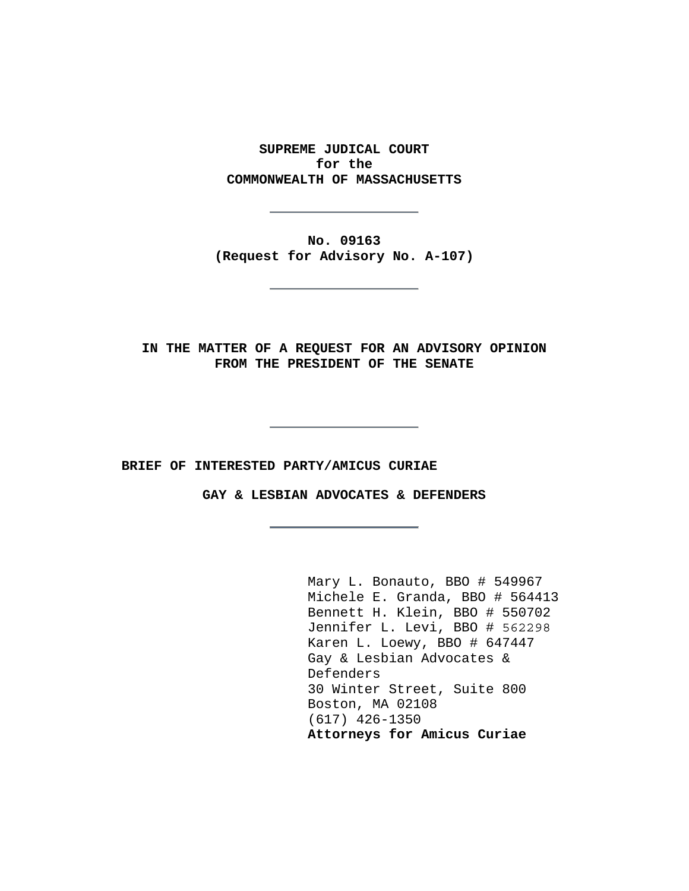**SUPREME JUDICAL COURT for the COMMONWEALTH OF MASSACHUSETTS** 

**No. 09163 (Request for Advisory No. A-107)** 

**IN THE MATTER OF A REQUEST FOR AN ADVISORY OPINION FROM THE PRESIDENT OF THE SENATE** 

**BRIEF OF INTERESTED PARTY/AMICUS CURIAE** 

**GAY & LESBIAN ADVOCATES & DEFENDERS** 

 Mary L. Bonauto, BBO # 549967 Michele E. Granda, BBO # 564413 Bennett H. Klein, BBO # 550702 Jennifer L. Levi, BBO # 562298 Karen L. Loewy, BBO # 647447 Gay & Lesbian Advocates & Defenders 30 Winter Street, Suite 800 Boston, MA 02108 (617) 426-1350 **Attorneys for Amicus Curiae**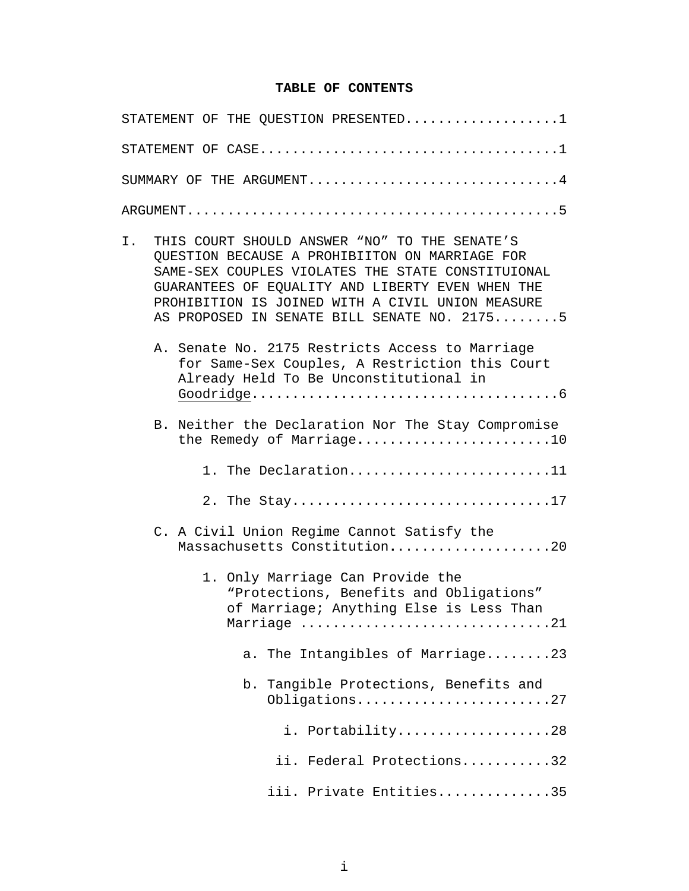## **TABLE OF CONTENTS**

| STATEMENT OF THE QUESTION PRESENTED1                                                                                                                                                                                                                                                                              |
|-------------------------------------------------------------------------------------------------------------------------------------------------------------------------------------------------------------------------------------------------------------------------------------------------------------------|
|                                                                                                                                                                                                                                                                                                                   |
| SUMMARY OF THE ARGUMENT4                                                                                                                                                                                                                                                                                          |
|                                                                                                                                                                                                                                                                                                                   |
| Ι.<br>THIS COURT SHOULD ANSWER "NO" TO THE SENATE'S<br>QUESTION BECAUSE A PROHIBIITON ON MARRIAGE FOR<br>SAME-SEX COUPLES VIOLATES THE STATE CONSTITUIONAL<br>GUARANTEES OF EQUALITY AND LIBERTY EVEN WHEN THE<br>PROHIBITION IS JOINED WITH A CIVIL UNION MEASURE<br>AS PROPOSED IN SENATE BILL SENATE NO. 21755 |
| A. Senate No. 2175 Restricts Access to Marriage<br>for Same-Sex Couples, A Restriction this Court<br>Already Held To Be Unconstitutional in                                                                                                                                                                       |
| B. Neither the Declaration Nor The Stay Compromise<br>the Remedy of Marriage10                                                                                                                                                                                                                                    |
| 1. The Declaration11                                                                                                                                                                                                                                                                                              |
| 2. The Stay17                                                                                                                                                                                                                                                                                                     |
| C. A Civil Union Regime Cannot Satisfy the<br>Massachusetts Constitution20                                                                                                                                                                                                                                        |
| 1. Only Marriage Can Provide the<br>"Protections, Benefits and Obligations"<br>of Marriage; Anything Else is Less Than<br>Marriage 21                                                                                                                                                                             |
| The Intangibles of Marriage23<br>a.                                                                                                                                                                                                                                                                               |
| Tangible Protections, Benefits and<br>b.<br>Obligations27                                                                                                                                                                                                                                                         |
| i. Portability28                                                                                                                                                                                                                                                                                                  |
| ii. Federal Protections32                                                                                                                                                                                                                                                                                         |
| iii. Private Entities35                                                                                                                                                                                                                                                                                           |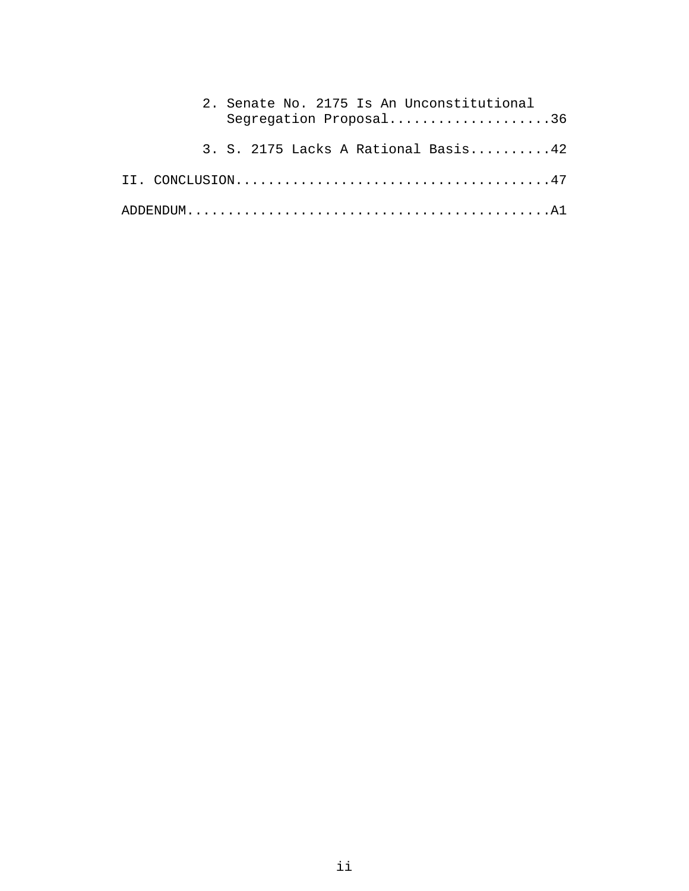| 2. Senate No. 2175 Is An Unconstitutional<br>Segregation Proposal36 |
|---------------------------------------------------------------------|
| 3. S. 2175 Lacks A Rational Basis42                                 |
|                                                                     |
|                                                                     |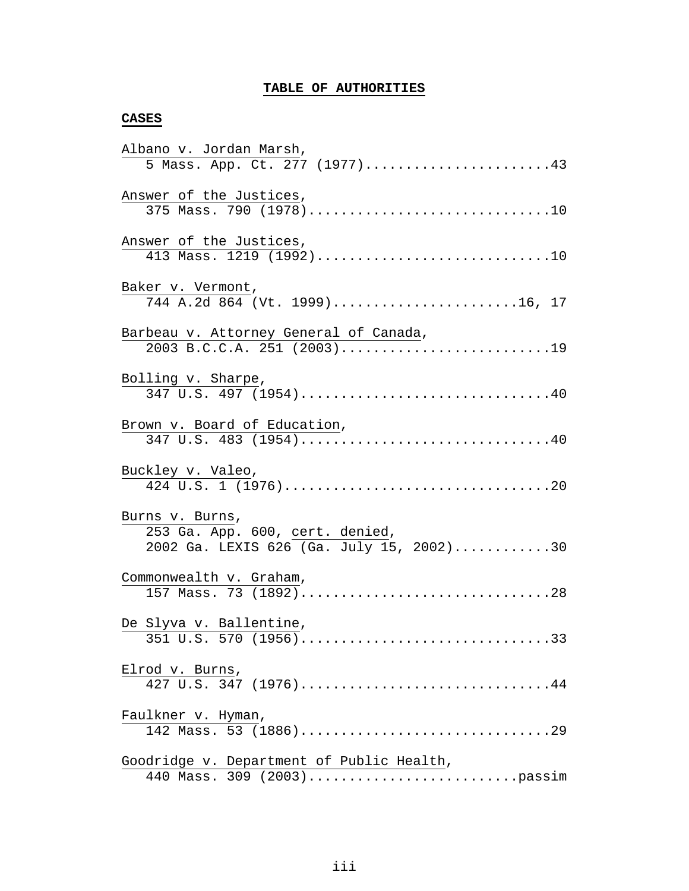# **TABLE OF AUTHORITIES**

### **CASES**

| Albano v. Jordan Marsh,                   |
|-------------------------------------------|
| 5 Mass. App. Ct. 277 (1977)43             |
| Answer of the Justices,                   |
| 375 Mass. 790 (1978)10                    |
| Answer of the Justices,                   |
| 413 Mass. 1219 (1992)10                   |
| Baker v. Vermont,                         |
| 744 A.2d 864 (Vt. 1999)16, 17             |
| Barbeau v. Attorney General of Canada,    |
| 2003 B.C.C.A. 251 (2003)19                |
| Bolling v. Sharpe,                        |
| 347 U.S. 497 (1954)40                     |
| Brown v. Board of Education,              |
| 347 U.S. 483 (1954)40                     |
| Buckley v. Valeo,                         |
|                                           |
| Burns v. Burns,                           |
| 253 Ga. App. 600, cert. denied,           |
| 2002 Ga. LEXIS 626 (Ga. July 15, 2002)30  |
| Commonwealth v. Graham,                   |
|                                           |
| De Slyva v. Ballentine,                   |
| 351 U.S. 570 (1956)33                     |
| Elrod v. Burns,                           |
|                                           |
| Faulkner v. Hyman,                        |
|                                           |
| Goodridge v. Department of Public Health, |
|                                           |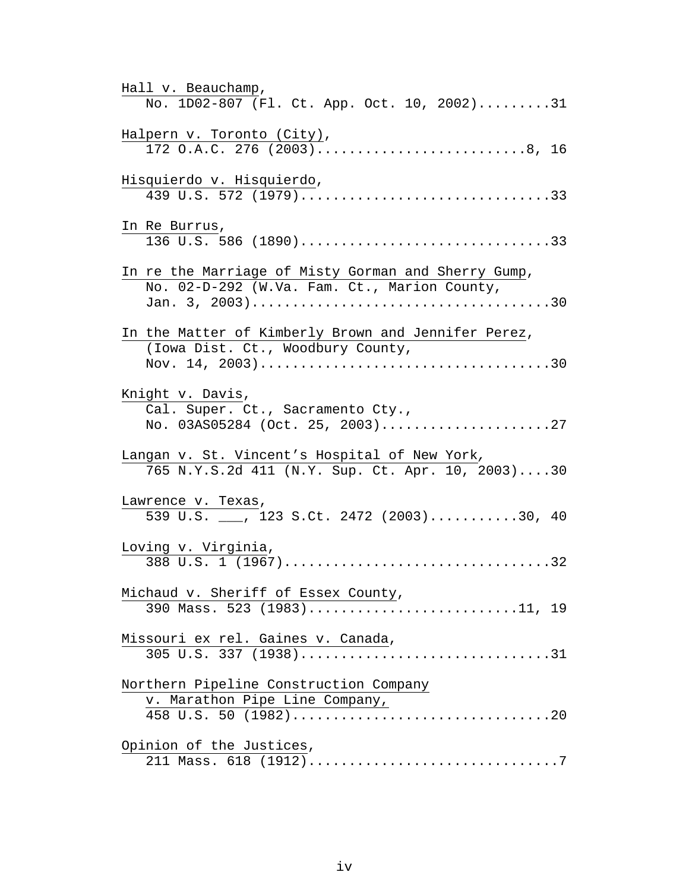| Hall v. Beauchamp,                                                   |
|----------------------------------------------------------------------|
| No. 1D02-807 (Fl. Ct. App. Oct. 10, 2002)31                          |
| Halpern v. Toronto (City),                                           |
| 172 O.A.C. 276 (2003)8, 16                                           |
| Hisquierdo v. Hisquierdo,                                            |
| 439 U.S. 572 (1979)33                                                |
| In Re Burrus,                                                        |
| 136 U.S. 586 (1890)33                                                |
| In re the Marriage of Misty Gorman and Sherry Gump,                  |
| No. 02-D-292 (W.Va. Fam. Ct., Marion County,                         |
|                                                                      |
|                                                                      |
| In the Matter of Kimberly Brown and Jennifer Perez,                  |
| (Iowa Dist. Ct., Woodbury County,                                    |
|                                                                      |
|                                                                      |
| Knight v. Davis,                                                     |
| Cal. Super. Ct., Sacramento Cty.,<br>No. 03AS05284 (Oct. 25, 2003)27 |
|                                                                      |
| Langan v. St. Vincent's Hospital of New York,                        |
| 765 N.Y.S.2d 411 (N.Y. Sup. Ct. Apr. 10, 2003)30                     |
| Lawrence v. Texas,                                                   |
| 539 U.S. __, 123 S.Ct. 2472 (2003)30, 40                             |
|                                                                      |
| Loving v. Virginia,                                                  |
| 388 U.S. 1 (1967)32                                                  |
| Michaud v. Sheriff of Essex County,                                  |
| 390 Mass. 523 (1983)11, 19                                           |
|                                                                      |
| Missouri ex rel. Gaines v. Canada,                                   |
| 305 U.S. 337 (1938)31                                                |
|                                                                      |
| Northern Pipeline Construction Company                               |
| v. Marathon Pipe Line Company,                                       |
|                                                                      |
| Opinion of the Justices,                                             |
|                                                                      |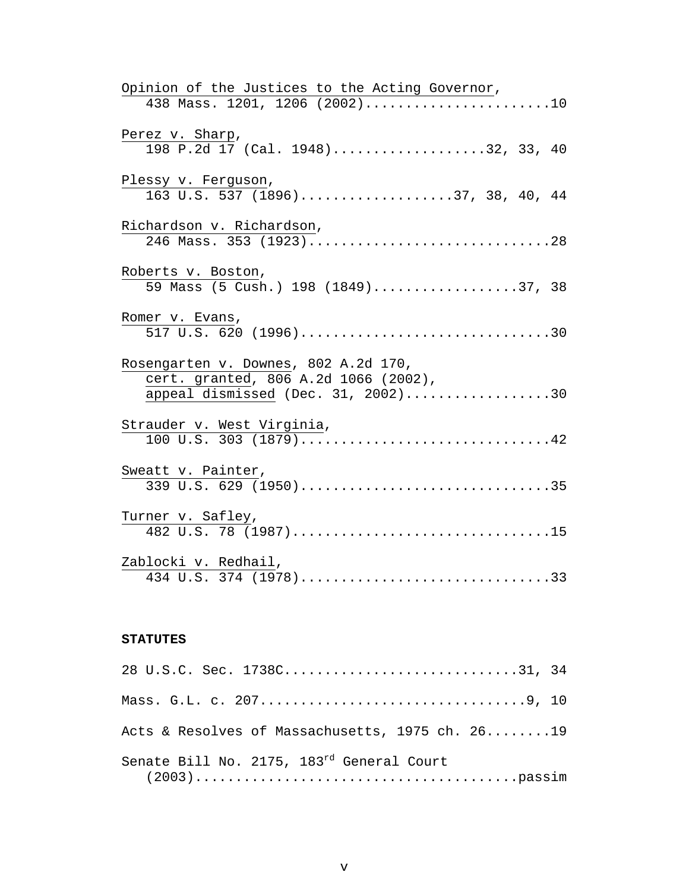| Opinion of the Justices to the Acting Governor,                                           |
|-------------------------------------------------------------------------------------------|
| 438 Mass. 1201, 1206 (2002)10                                                             |
| Perez v. Sharp,                                                                           |
| 198 P.2d 17 (Cal. 1948)32, 33, 40                                                         |
| Plessy v. Ferguson,                                                                       |
| 163 U.S. 537 (1896)37, 38, 40, 44                                                         |
| Richardson v. Richardson,                                                                 |
| 246 Mass. 353 (1923)28                                                                    |
| Roberts v. Boston,                                                                        |
| 59 Mass (5 Cush.) 198 (1849)37, 38                                                        |
| Romer v. Evans,                                                                           |
|                                                                                           |
| Rosengarten v. Downes, 802 A.2d 170,                                                      |
| cert. granted, 806 A.2d 1066 (2002),                                                      |
| appeal dismissed (Dec. 31, 2002)30                                                        |
| Strauder v. West Virginia,                                                                |
| $100 \text{ U.S. } 303 \text{ (}1879) \text{} \text{} \text{} \text{} \text{} \text{} 42$ |
| Sweatt v. Painter,                                                                        |
| 339 U.S. 629 (1950)35                                                                     |
| Turner v. Safley,                                                                         |
| 482 U.S. 78 (1987)15                                                                      |
| Zablocki v. Redhail,                                                                      |
|                                                                                           |

## **STATUTES**

| 28 U.S.C. Sec. 1738C31, 34                            |
|-------------------------------------------------------|
|                                                       |
| Acts & Resolves of Massachusetts, 1975 ch. 2619       |
| Senate Bill No. 2175, 183 <sup>rd</sup> General Court |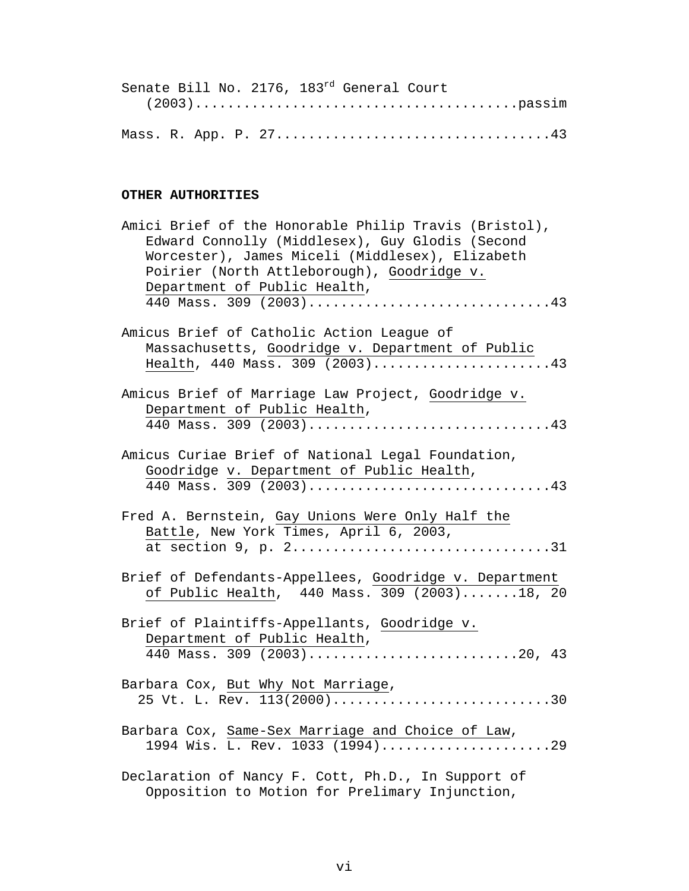|  |  | Senate Bill No. 2176, 183rd General Court |  |
|--|--|-------------------------------------------|--|
|  |  |                                           |  |
|  |  |                                           |  |
|  |  |                                           |  |

## **OTHER AUTHORITIES**

| Amici Brief of the Honorable Philip Travis (Bristol),<br>Edward Connolly (Middlesex), Guy Glodis (Second<br>Worcester), James Miceli (Middlesex), Elizabeth<br>Poirier (North Attleborough), Goodridge v.<br>Department of Public Health,<br>440 Mass. 309 (2003)43 |
|---------------------------------------------------------------------------------------------------------------------------------------------------------------------------------------------------------------------------------------------------------------------|
| Amicus Brief of Catholic Action League of                                                                                                                                                                                                                           |
| Massachusetts, Goodridge v. Department of Public<br>Health, 440 Mass. 309 (2003)43                                                                                                                                                                                  |
| Amicus Brief of Marriage Law Project, Goodridge v.                                                                                                                                                                                                                  |
| Department of Public Health,                                                                                                                                                                                                                                        |
| 440 Mass. 309 (2003)43                                                                                                                                                                                                                                              |
| Amicus Curiae Brief of National Legal Foundation,<br>Goodridge v. Department of Public Health,                                                                                                                                                                      |
| 440 Mass. 309 (2003)43                                                                                                                                                                                                                                              |
| Fred A. Bernstein, Gay Unions Were Only Half the<br>Battle, New York Times, April 6, 2003,<br>at section 9, p. 231                                                                                                                                                  |
| Brief of Defendants-Appellees, Goodridge v. Department<br>of Public Health, 440 Mass. 309 (2003)18, 20                                                                                                                                                              |
| Brief of Plaintiffs-Appellants, Goodridge v.<br>Department of Public Health,<br>440 Mass. 309 (2003)20, 43                                                                                                                                                          |
| Barbara Cox, But Why Not Marriage,<br>25 Vt. L. Rev. 113(2000)30                                                                                                                                                                                                    |
| Barbara Cox, Same-Sex Marriage and Choice of Law,<br>1994 Wis. L. Rev. 1033 (1994)29                                                                                                                                                                                |
| Declaration of Nancy F. Cott, Ph.D., In Support of<br>Opposition to Motion for Prelimary Injunction,                                                                                                                                                                |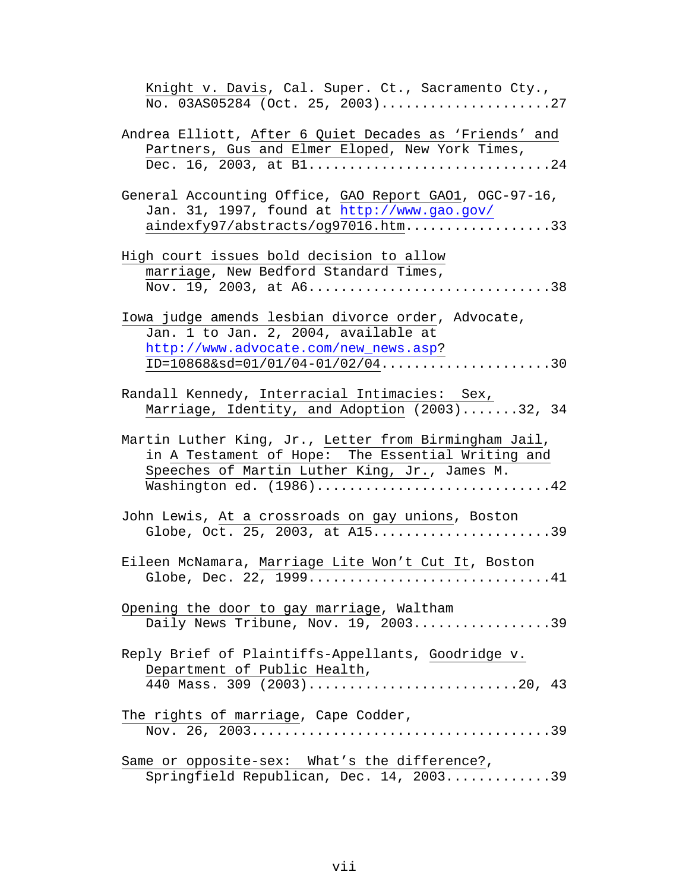| Knight v. Davis, Cal. Super. Ct., Sacramento Cty.,<br>No. 03AS05284 (Oct. 25, 2003)27                                                                                                  |
|----------------------------------------------------------------------------------------------------------------------------------------------------------------------------------------|
| Andrea Elliott, After 6 Quiet Decades as 'Friends' and<br>Partners, Gus and Elmer Eloped, New York Times,<br>Dec. 16, 2003, at B124                                                    |
| General Accounting Office, GAO Report GAO1, OGC-97-16,<br>Jan. 31, 1997, found at http://www.gao.gov/<br>aindexfy97/abstracts/og97016.htm33                                            |
| High court issues bold decision to allow<br>marriage, New Bedford Standard Times,<br>Nov. 19, 2003, at A638                                                                            |
| Iowa judge amends lesbian divorce order, Advocate,<br>Jan. 1 to Jan. 2, 2004, available at<br>http://www.advocate.com/new_news.asp?<br>ID= $10868&sd=01/01/04-01/02/04$ 30             |
| Randall Kennedy, Interracial Intimacies: Sex,<br>Marriage, Identity, and Adoption (2003)32, 34                                                                                         |
| Martin Luther King, Jr., Letter from Birmingham Jail,<br>in A Testament of Hope: The Essential Writing and<br>Speeches of Martin Luther King, Jr., James M.<br>Washington ed. (1986)42 |
| John Lewis, At a crossroads on gay unions, Boston<br>Globe, Oct. 25, 2003, at $AI5$ 39                                                                                                 |
| Eileen McNamara, Marriage Lite Won't Cut It, Boston<br>Globe, Dec. 22, 199941                                                                                                          |
| Opening the door to gay marriage, Waltham<br>Daily News Tribune, Nov. 19, 200339                                                                                                       |
| Reply Brief of Plaintiffs-Appellants, Goodridge v.<br>Department of Public Health,<br>440 Mass. 309 (2003)20, 43                                                                       |
| The rights of marriage, Cape Codder,                                                                                                                                                   |
| Same or opposite-sex: What's the difference?,<br>Springfield Republican, Dec. 14, 200339                                                                                               |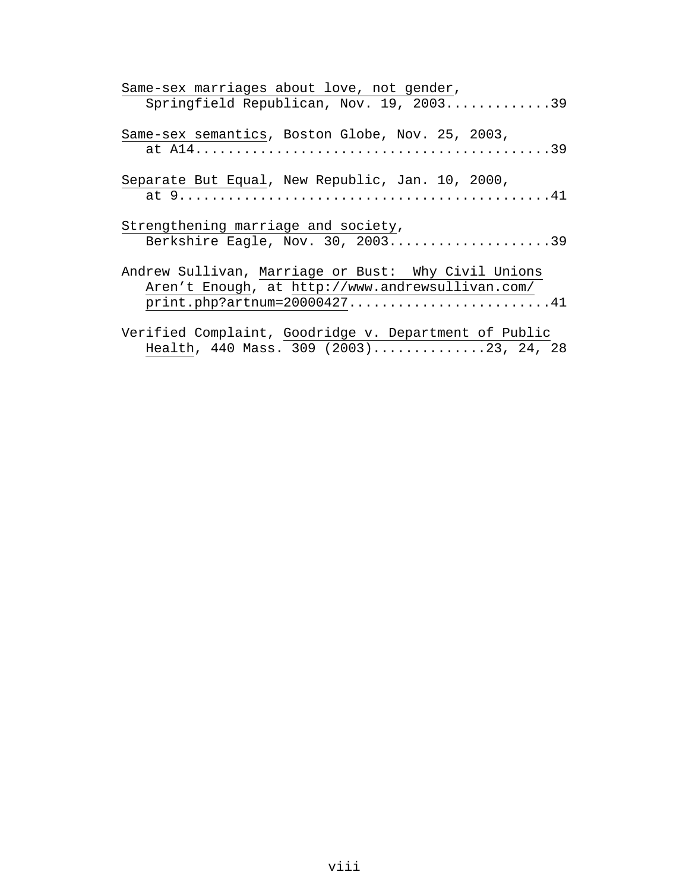| Same-sex marriages about love, not gender,                                                                                                |
|-------------------------------------------------------------------------------------------------------------------------------------------|
| Springfield Republican, Nov. 19, 200339                                                                                                   |
| Same-sex semantics, Boston Globe, Nov. 25, 2003,                                                                                          |
| Separate But Equal, New Republic, Jan. 10, 2000,                                                                                          |
| Strengthening marriage and society,<br>Berkshire Eagle, Nov. 30, 200339                                                                   |
| Andrew Sullivan, Marriage or Bust: Why Civil Unions<br>Aren't Enough, at http://www.andrewsullivan.com/<br>$print.php?artnum=20000427$ 41 |
| Verified Complaint, Goodridge v. Department of Public<br>Health, 440 Mass. 309 (2003)23, 24, 28                                           |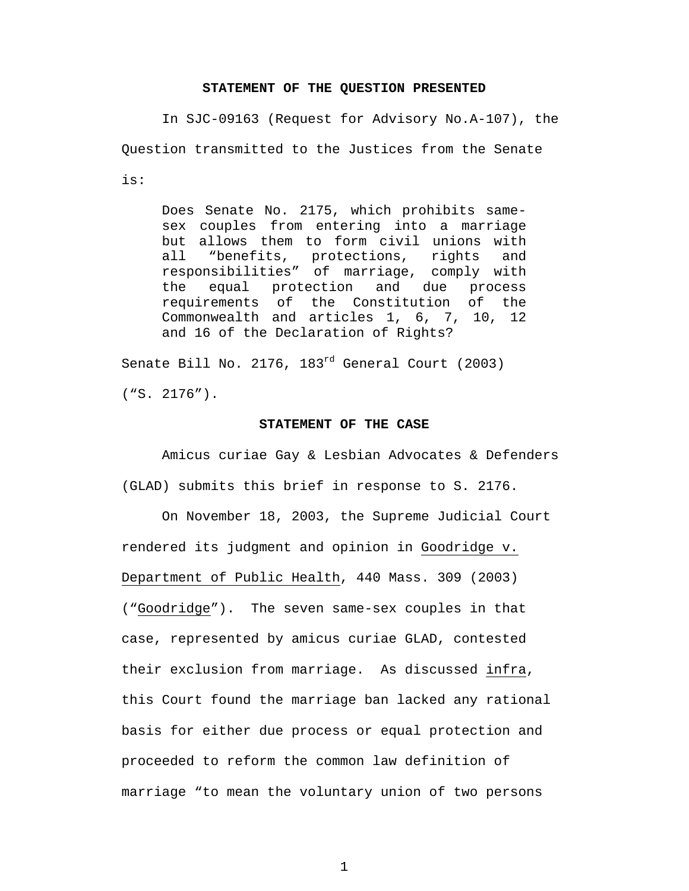#### **STATEMENT OF THE QUESTION PRESENTED**

In SJC-09163 (Request for Advisory No.A-107), the Question transmitted to the Justices from the Senate is:

Does Senate No. 2175, which prohibits samesex couples from entering into a marriage but allows them to form civil unions with all "benefits, protections, rights and responsibilities" of marriage, comply with the equal protection and due process requirements of the Constitution of the Commonwealth and articles 1, 6, 7, 10, 12 and 16 of the Declaration of Rights?

Senate Bill No. 2176, 183rd General Court (2003) ("S. 2176").

#### **STATEMENT OF THE CASE**

Amicus curiae Gay & Lesbian Advocates & Defenders (GLAD) submits this brief in response to S. 2176.

On November 18, 2003, the Supreme Judicial Court rendered its judgment and opinion in Goodridge v. Department of Public Health, 440 Mass. 309 (2003) ("Goodridge"). The seven same-sex couples in that case, represented by amicus curiae GLAD, contested their exclusion from marriage. As discussed infra, this Court found the marriage ban lacked any rational basis for either due process or equal protection and proceeded to reform the common law definition of marriage "to mean the voluntary union of two persons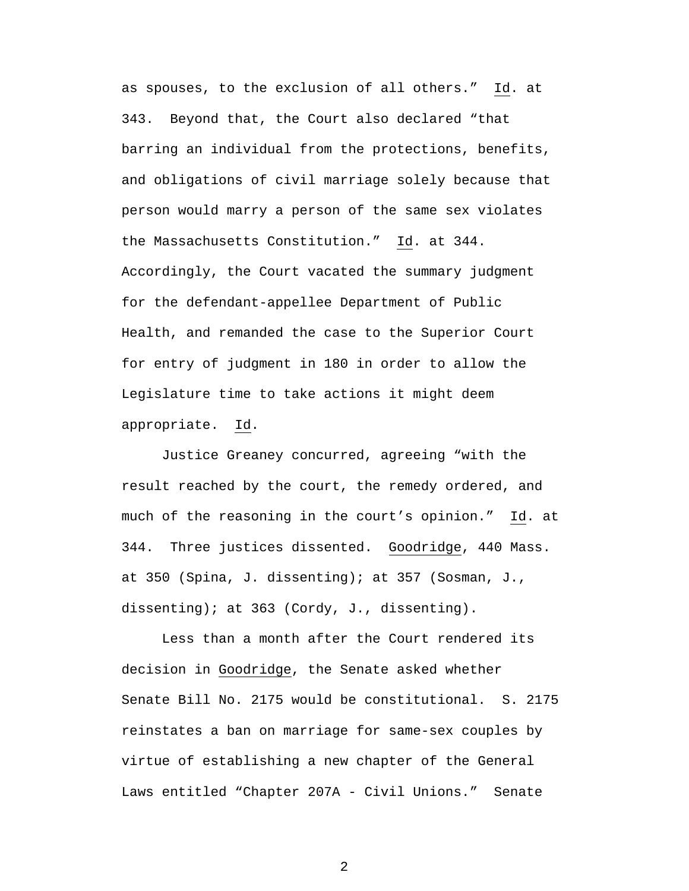as spouses, to the exclusion of all others." Id. at 343. Beyond that, the Court also declared "that barring an individual from the protections, benefits, and obligations of civil marriage solely because that person would marry a person of the same sex violates the Massachusetts Constitution." Id. at 344. Accordingly, the Court vacated the summary judgment for the defendant-appellee Department of Public Health, and remanded the case to the Superior Court for entry of judgment in 180 in order to allow the Legislature time to take actions it might deem appropriate. Id.

Justice Greaney concurred, agreeing "with the result reached by the court, the remedy ordered, and much of the reasoning in the court's opinion." Id. at 344. Three justices dissented. Goodridge, 440 Mass. at 350 (Spina, J. dissenting); at 357 (Sosman, J., dissenting); at 363 (Cordy, J., dissenting).

Less than a month after the Court rendered its decision in Goodridge, the Senate asked whether Senate Bill No. 2175 would be constitutional. S. 2175 reinstates a ban on marriage for same-sex couples by virtue of establishing a new chapter of the General Laws entitled "Chapter 207A - Civil Unions." Senate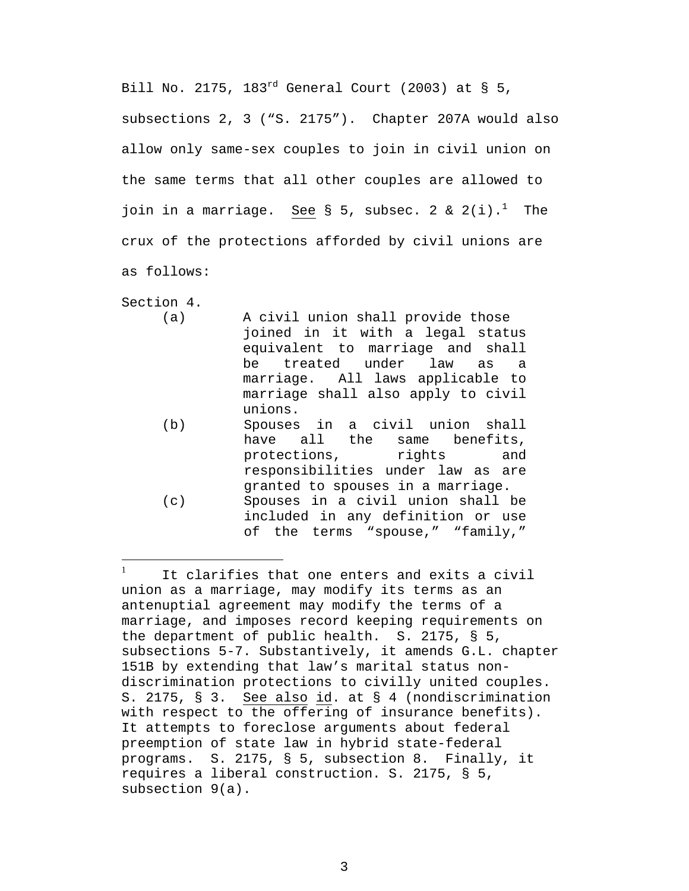Bill No. 2175, 183 $^{rd}$  General Court (2003) at § 5, subsections 2, 3 ("S. 2175"). Chapter 207A would also allow only same-sex couples to join in civil union on the same terms that all other couples are allowed to join in a marriage. See  $\S$  5, subsec. 2 & 2(i).<sup>[1](#page-11-0)</sup> The crux of the protections afforded by civil unions are as follows:

Section 4.

- (a) A civil union shall provide those joined in it with a legal status equivalent to marriage and shall be treated under law as a marriage. All laws applicable to marriage shall also apply to civil unions.
- (b) Spouses in a civil union shall have all the same benefits, protections, rights and responsibilities under law as are granted to spouses in a marriage. (c) Spouses in a civil union shall be
	- included in any definition or use of the terms "spouse," "family,"

<span id="page-11-0"></span><sup>1</sup> It clarifies that one enters and exits a civil union as a marriage, may modify its terms as an antenuptial agreement may modify the terms of a marriage, and imposes record keeping requirements on the department of public health. S. 2175, § 5, subsections 5-7. Substantively, it amends G.L. chapter 151B by extending that law's marital status nondiscrimination protections to civilly united couples. S. 2175, § 3. See also id. at § 4 (nondiscrimination with respect to the offering of insurance benefits). It attempts to foreclose arguments about federal preemption of state law in hybrid state-federal programs. S. 2175, § 5, subsection 8. Finally, it requires a liberal construction. S. 2175, § 5, subsection 9(a).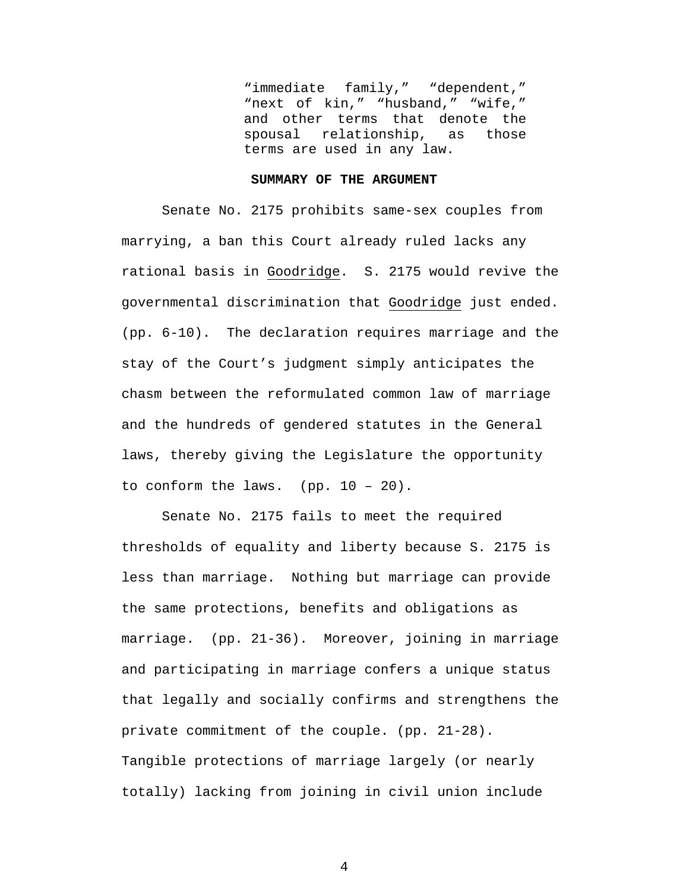"immediate family," "dependent," "next of kin," "husband," "wife," and other terms that denote the spousal relationship, as those terms are used in any law.

#### **SUMMARY OF THE ARGUMENT**

Senate No. 2175 prohibits same-sex couples from marrying, a ban this Court already ruled lacks any rational basis in Goodridge. S. 2175 would revive the governmental discrimination that Goodridge just ended. (pp. 6-10). The declaration requires marriage and the stay of the Court's judgment simply anticipates the chasm between the reformulated common law of marriage and the hundreds of gendered statutes in the General laws, thereby giving the Legislature the opportunity to conform the laws. (pp.  $10 - 20$ ).

Senate No. 2175 fails to meet the required thresholds of equality and liberty because S. 2175 is less than marriage. Nothing but marriage can provide the same protections, benefits and obligations as marriage. (pp. 21-36). Moreover, joining in marriage and participating in marriage confers a unique status that legally and socially confirms and strengthens the private commitment of the couple. (pp. 21-28). Tangible protections of marriage largely (or nearly totally) lacking from joining in civil union include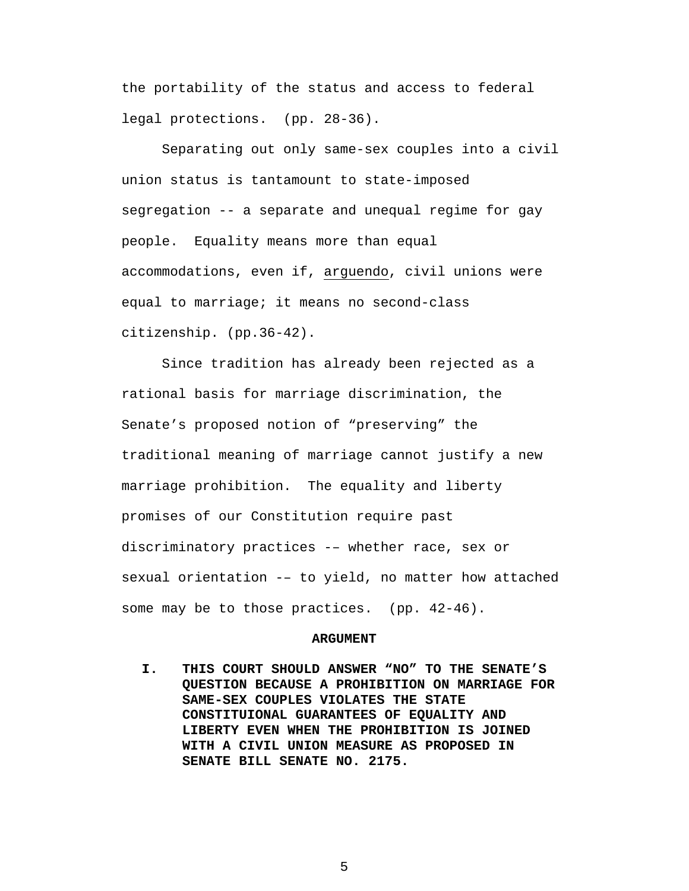the portability of the status and access to federal legal protections. (pp. 28-36).

Separating out only same-sex couples into a civil union status is tantamount to state-imposed segregation -- a separate and unequal regime for gay people. Equality means more than equal accommodations, even if, arguendo, civil unions were equal to marriage; it means no second-class citizenship. (pp.36-42).

Since tradition has already been rejected as a rational basis for marriage discrimination, the Senate's proposed notion of "preserving" the traditional meaning of marriage cannot justify a new marriage prohibition. The equality and liberty promises of our Constitution require past discriminatory practices -– whether race, sex or sexual orientation -– to yield, no matter how attached some may be to those practices. (pp. 42-46).

#### **ARGUMENT**

**I. THIS COURT SHOULD ANSWER "NO" TO THE SENATE'S QUESTION BECAUSE A PROHIBITION ON MARRIAGE FOR SAME-SEX COUPLES VIOLATES THE STATE CONSTITUIONAL GUARANTEES OF EQUALITY AND LIBERTY EVEN WHEN THE PROHIBITION IS JOINED WITH A CIVIL UNION MEASURE AS PROPOSED IN SENATE BILL SENATE NO. 2175.**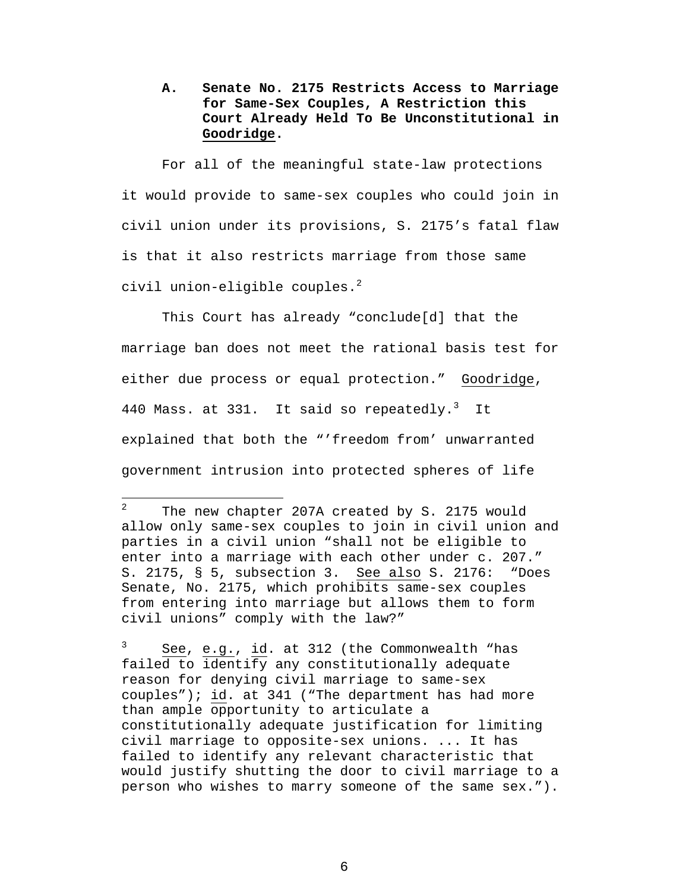**A. Senate No. 2175 Restricts Access to Marriage for Same-Sex Couples, A Restriction this Court Already Held To Be Unconstitutional in Goodridge.** 

For all of the meaningful state-law protections it would provide to same-sex couples who could join in civil union under its provisions, S. 2175's fatal flaw is that it also restricts marriage from those same civil union-eligible couples. $^2$  $^2$ 

This Court has already "conclude[d] that the marriage ban does not meet the rational basis test for either due process or equal protection." Goodridge, 440 Mass. at [3](#page-14-1)31. It said so repeatedly.<sup>3</sup> It explained that both the "'freedom from' unwarranted government intrusion into protected spheres of life

 $\overline{a}$ 

<span id="page-14-1"></span>3 See, e.g., id. at 312 (the Commonwealth "has failed to identify any constitutionally adequate reason for denying civil marriage to same-sex couples"); id. at 341 ("The department has had more than ample opportunity to articulate a constitutionally adequate justification for limiting civil marriage to opposite-sex unions. ... It has failed to identify any relevant characteristic that would justify shutting the door to civil marriage to a person who wishes to marry someone of the same sex.").

<span id="page-14-0"></span><sup>2</sup> The new chapter 207A created by S. 2175 would allow only same-sex couples to join in civil union and parties in a civil union "shall not be eligible to enter into a marriage with each other under c. 207." S. 2175, § 5, subsection 3. See also S. 2176: "Does Senate, No. 2175, which prohibits same-sex couples from entering into marriage but allows them to form civil unions" comply with the law?"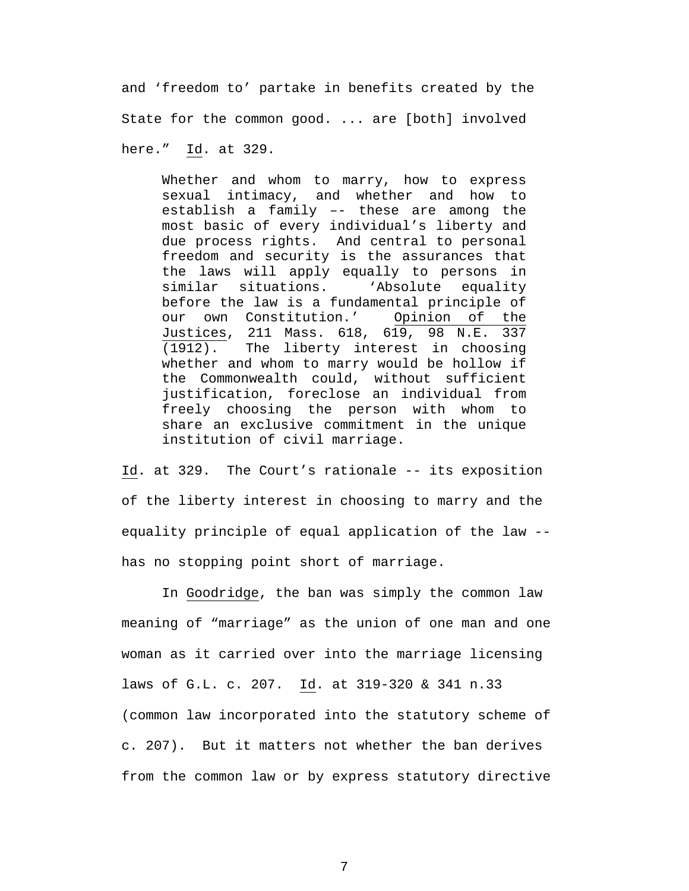and 'freedom to' partake in benefits created by the State for the common good. ... are [both] involved here." Id. at 329.

Whether and whom to marry, how to express sexual intimacy, and whether and how to establish a family –- these are among the most basic of every individual's liberty and due process rights. And central to personal freedom and security is the assurances that the laws will apply equally to persons in similar situations. 
Absolute equality before the law is a fundamental principle of our own Constitution.' Opinion of the Justices, 211 Mass. 618, 619, 98 N.E. 337 (1912). The liberty interest in choosing whether and whom to marry would be hollow if the Commonwealth could, without sufficient justification, foreclose an individual from freely choosing the person with whom to share an exclusive commitment in the unique institution of civil marriage.

Id. at 329. The Court's rationale -- its exposition of the liberty interest in choosing to marry and the equality principle of equal application of the law - has no stopping point short of marriage.

In Goodridge, the ban was simply the common law meaning of "marriage" as the union of one man and one woman as it carried over into the marriage licensing laws of G.L. c. 207. Id. at 319-320 & 341 n.33 (common law incorporated into the statutory scheme of c. 207). But it matters not whether the ban derives from the common law or by express statutory directive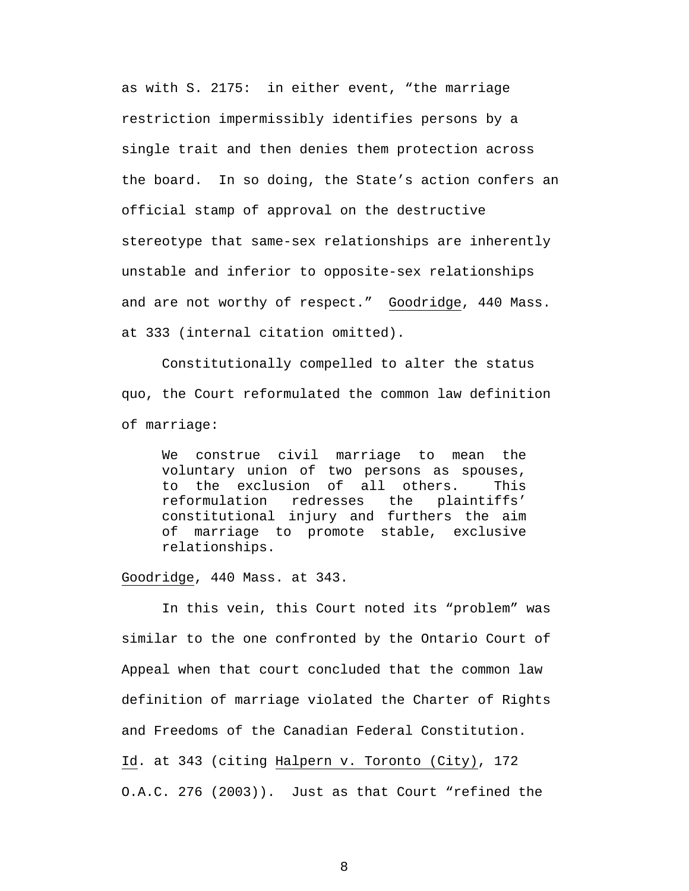as with S. 2175: in either event, "the marriage restriction impermissibly identifies persons by a single trait and then denies them protection across the board. In so doing, the State's action confers an official stamp of approval on the destructive stereotype that same-sex relationships are inherently unstable and inferior to opposite-sex relationships and are not worthy of respect." Goodridge, 440 Mass. at 333 (internal citation omitted).

Constitutionally compelled to alter the status quo, the Court reformulated the common law definition of marriage:

We construe civil marriage to mean the voluntary union of two persons as spouses, to the exclusion of all others. This reformulation redresses the plaintiffs' constitutional injury and furthers the aim of marriage to promote stable, exclusive relationships.

Goodridge, 440 Mass. at 343.

In this vein, this Court noted its "problem" was similar to the one confronted by the Ontario Court of Appeal when that court concluded that the common law definition of marriage violated the Charter of Rights and Freedoms of the Canadian Federal Constitution. Id. at 343 (citing Halpern v. Toronto (City), 172 O.A.C. 276 (2003)). Just as that Court "refined the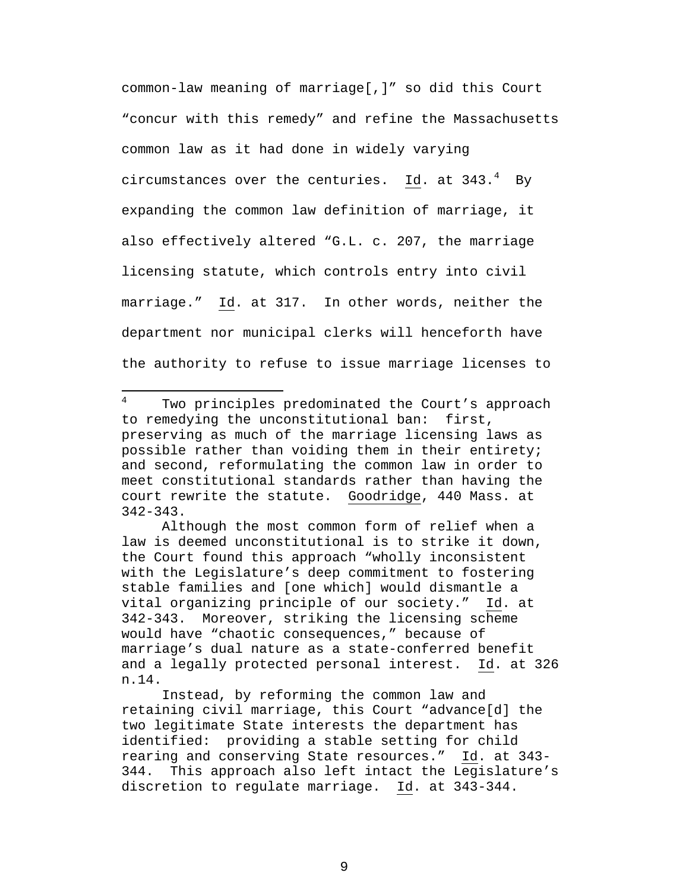common-law meaning of marriage[,]" so did this Court "concur with this remedy" and refine the Massachusetts common law as it had done in widely varying circumstances over the centuries.  $\underline{\texttt{Id}}$ . at 3[4](#page-17-0)3. $^4$  By expanding the common law definition of marriage, it also effectively altered "G.L. c. 207, the marriage licensing statute, which controls entry into civil marriage." Id. at 317. In other words, neither the department nor municipal clerks will henceforth have the authority to refuse to issue marriage licenses to

<span id="page-17-0"></span>4 Two principles predominated the Court's approach to remedying the unconstitutional ban: first, preserving as much of the marriage licensing laws as possible rather than voiding them in their entirety; and second, reformulating the common law in order to meet constitutional standards rather than having the court rewrite the statute. Goodridge, 440 Mass. at 342-343.

 $\overline{a}$ 

Although the most common form of relief when a law is deemed unconstitutional is to strike it down, the Court found this approach "wholly inconsistent with the Legislature's deep commitment to fostering stable families and [one which] would dismantle a vital organizing principle of our society." Id. at 342-343. Moreover, striking the licensing scheme would have "chaotic consequences," because of marriage's dual nature as a state-conferred benefit and a legally protected personal interest. Id. at 326 n.14.

Instead, by reforming the common law and retaining civil marriage, this Court "advance[d] the two legitimate State interests the department has identified: providing a stable setting for child rearing and conserving State resources." Id. at 343- 344. This approach also left intact the Legislature's discretion to regulate marriage. Id. at 343-344.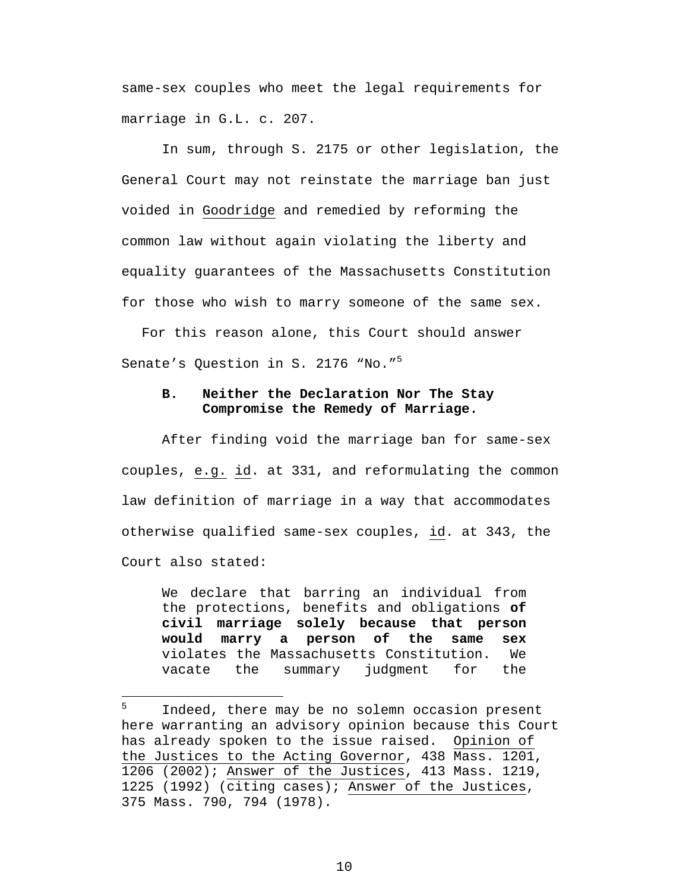same-sex couples who meet the legal requirements for marriage in G.L. c. 207.

In sum, through S. 2175 or other legislation, the General Court may not reinstate the marriage ban just voided in Goodridge and remedied by reforming the common law without again violating the liberty and equality guarantees of the Massachusetts Constitution for those who wish to marry someone of the same sex.

For this reason alone, this Court should answer Senate's Question in S. 2176 "No."<sup>[5](#page-18-0)</sup>

## **B. Neither the Declaration Nor The Stay Compromise the Remedy of Marriage.**

After finding void the marriage ban for same-sex couples, e.g. id. at 331, and reformulating the common law definition of marriage in a way that accommodates otherwise qualified same-sex couples, id. at 343, the Court also stated:

We declare that barring an individual from the protections, benefits and obligations **of civil marriage solely because that person would marry a person of the same sex** violates the Massachusetts Constitution. We vacate the summary judgment for the

 $\overline{a}$ 

<span id="page-18-0"></span><sup>5</sup> Indeed, there may be no solemn occasion present here warranting an advisory opinion because this Court has already spoken to the issue raised. Opinion of the Justices to the Acting Governor, 438 Mass. 1201, 1206 (2002); Answer of the Justices, 413 Mass. 1219, 1225 (1992) (citing cases); Answer of the Justices, 375 Mass. 790, 794 (1978).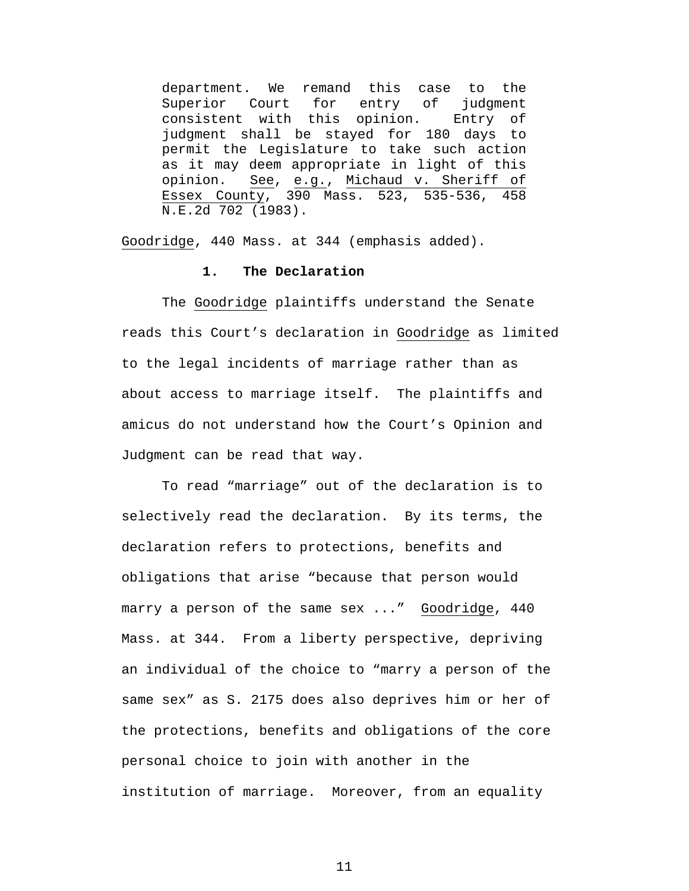department. We remand this case to the Superior Court for entry of judgment consistent with this opinion. Entry of judgment shall be stayed for 180 days to permit the Legislature to take such action as it may deem appropriate in light of this opinion. See, e.g., Michaud v. Sheriff of Essex County, 390 Mass. 523, 535-536, 458 N.E.2d 702 (1983).

Goodridge, 440 Mass. at 344 (emphasis added).

### **1. The Declaration**

The Goodridge plaintiffs understand the Senate reads this Court's declaration in Goodridge as limited to the legal incidents of marriage rather than as about access to marriage itself. The plaintiffs and amicus do not understand how the Court's Opinion and Judgment can be read that way.

To read "marriage" out of the declaration is to selectively read the declaration. By its terms, the declaration refers to protections, benefits and obligations that arise "because that person would marry a person of the same sex ..." Goodridge, 440 Mass. at 344. From a liberty perspective, depriving an individual of the choice to "marry a person of the same sex" as S. 2175 does also deprives him or her of the protections, benefits and obligations of the core personal choice to join with another in the institution of marriage. Moreover, from an equality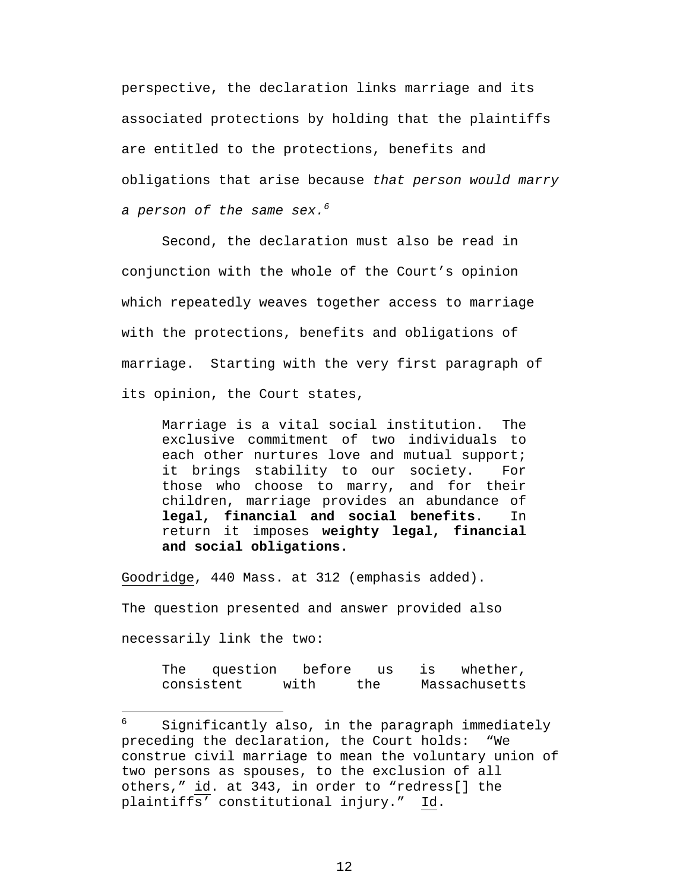perspective, the declaration links marriage and its associated protections by holding that the plaintiffs are entitled to the protections, benefits and obligations that arise because *that person would marry a person of the same sex.[6](#page-20-0)* 

Second, the declaration must also be read in conjunction with the whole of the Court's opinion which repeatedly weaves together access to marriage with the protections, benefits and obligations of marriage. Starting with the very first paragraph of its opinion, the Court states,

Marriage is a vital social institution. The exclusive commitment of two individuals to each other nurtures love and mutual support; it brings stability to our society. For those who choose to marry, and for their children, marriage provides an abundance of **legal, financial and social benefits**. In return it imposes **weighty legal, financial and social obligations.**

Goodridge, 440 Mass. at 312 (emphasis added).

 $\overline{a}$ 

The question presented and answer provided also necessarily link the two:

> The question before us is whether, consistent with the Massachusetts

<span id="page-20-0"></span><sup>6</sup> Significantly also, in the paragraph immediately preceding the declaration, the Court holds: "We construe civil marriage to mean the voluntary union of two persons as spouses, to the exclusion of all others," id. at 343, in order to "redress[] the plaintiffs' constitutional injury." Id.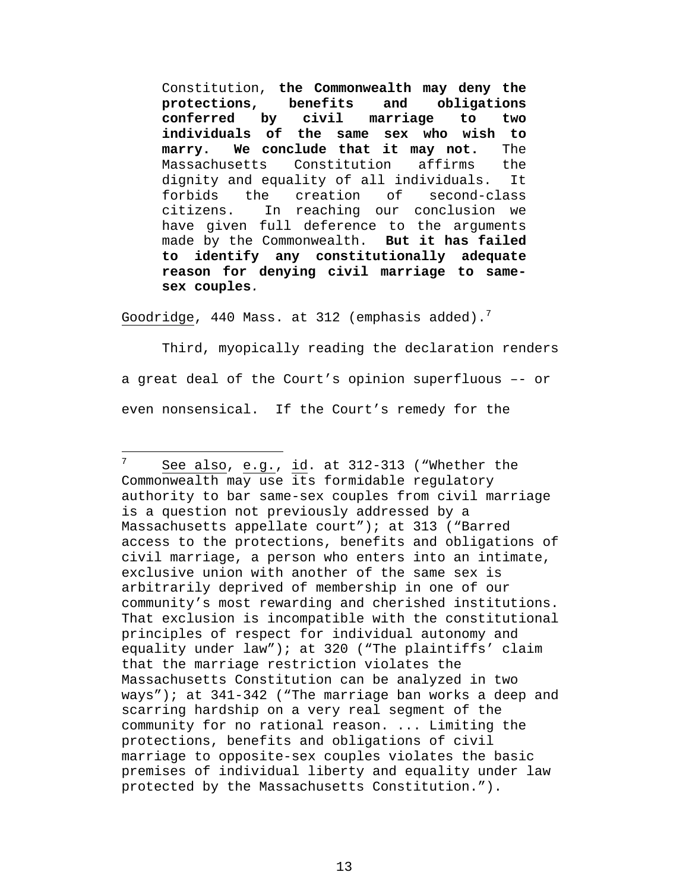Constitution, **the Commonwealth may deny the protections, benefits and obligations conferred by civil marriage to two individuals of the same sex who wish to marry. We conclude that it may not.** The Massachusetts Constitution affirms the dignity and equality of all individuals. It forbids the creation of second-class citizens. In reaching our conclusion we have given full deference to the arguments made by the Commonwealth. **But it has failed to identify any constitutionally adequate reason for denying civil marriage to samesex couples***.*

Goodridge, 440 Mass. at 312 (emphasis added).<sup>[7](#page-21-0)</sup>

 $\overline{a}$ 

Third, myopically reading the declaration renders a great deal of the Court's opinion superfluous –- or even nonsensical. If the Court's remedy for the

<span id="page-21-0"></span><sup>7</sup> See also, e.g., id. at 312-313 ("Whether the Commonwealth may use its formidable regulatory authority to bar same-sex couples from civil marriage is a question not previously addressed by a Massachusetts appellate court"); at 313 ("Barred access to the protections, benefits and obligations of civil marriage, a person who enters into an intimate, exclusive union with another of the same sex is arbitrarily deprived of membership in one of our community's most rewarding and cherished institutions. That exclusion is incompatible with the constitutional principles of respect for individual autonomy and equality under law"); at 320 ("The plaintiffs' claim that the marriage restriction violates the Massachusetts Constitution can be analyzed in two ways"); at 341-342 ("The marriage ban works a deep and scarring hardship on a very real segment of the community for no rational reason. ... Limiting the protections, benefits and obligations of civil marriage to opposite-sex couples violates the basic premises of individual liberty and equality under law protected by the Massachusetts Constitution.").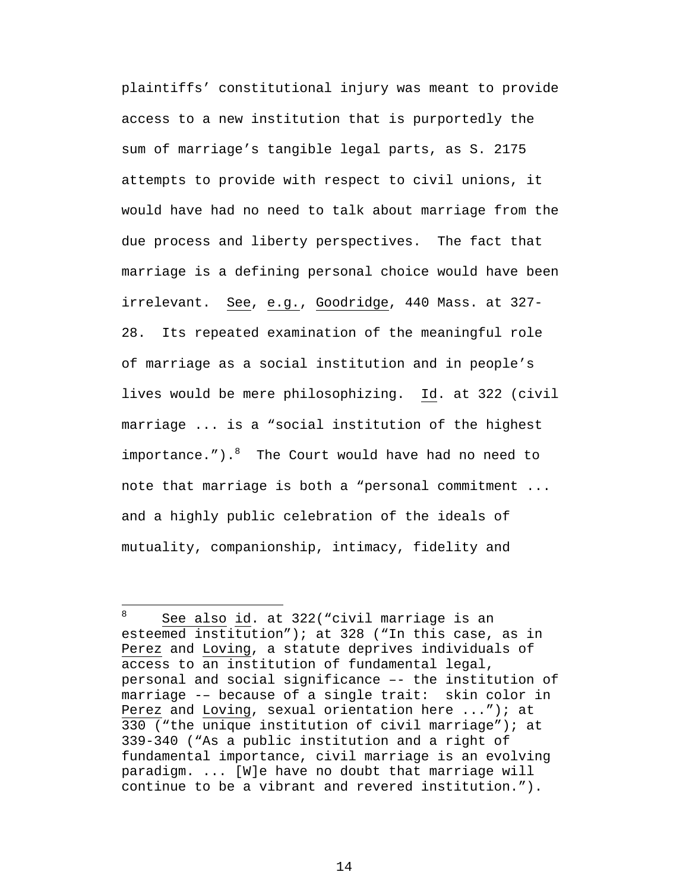plaintiffs' constitutional injury was meant to provide access to a new institution that is purportedly the sum of marriage's tangible legal parts, as S. 2175 attempts to provide with respect to civil unions, it would have had no need to talk about marriage from the due process and liberty perspectives. The fact that marriage is a defining personal choice would have been irrelevant. See, e.g., Goodridge, 440 Mass. at 327- 28. Its repeated examination of the meaningful role of marriage as a social institution and in people's lives would be mere philosophizing. Id. at 322 (civil marriage ... is a "social institution of the highest importance."). <sup>[8](#page-22-0)</sup> The Court would have had no need to note that marriage is both a "personal commitment ... and a highly public celebration of the ideals of mutuality, companionship, intimacy, fidelity and

1

<span id="page-22-0"></span><sup>8</sup> See also id. at 322("civil marriage is an esteemed institution"); at 328 ("In this case, as in Perez and Loving, a statute deprives individuals of access to an institution of fundamental legal, personal and social significance –- the institution of marriage -– because of a single trait: skin color in Perez and Loving, sexual orientation here ..."); at 330 ("the unique institution of civil marriage"); at 339-340 ("As a public institution and a right of fundamental importance, civil marriage is an evolving paradigm. ... [W]e have no doubt that marriage will continue to be a vibrant and revered institution.").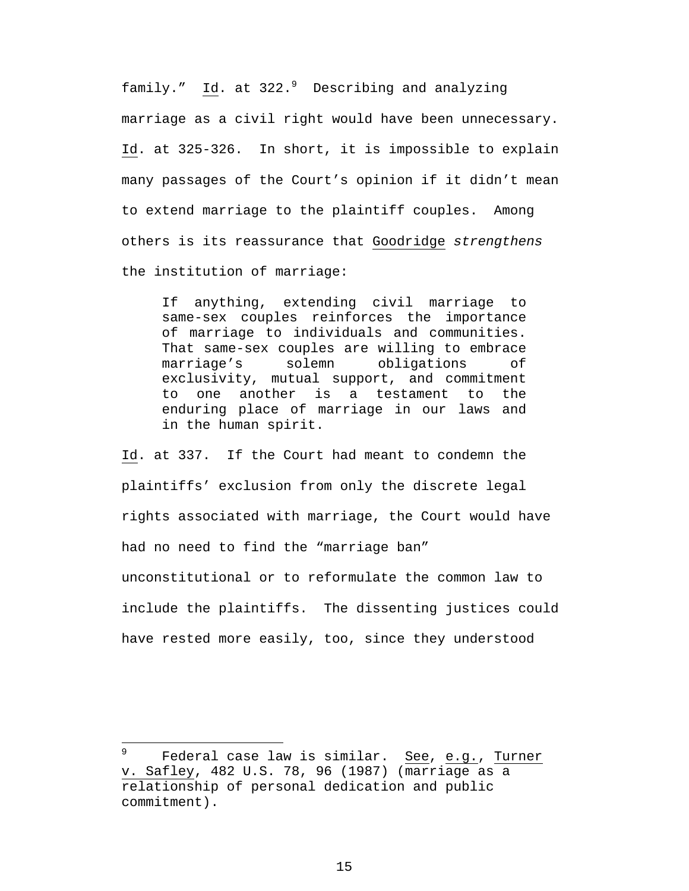family." Id. at 322.<sup>[9](#page-23-0)</sup> Describing and analyzing marriage as a civil right would have been unnecessary. Id. at 325-326. In short, it is impossible to explain many passages of the Court's opinion if it didn't mean to extend marriage to the plaintiff couples. Among others is its reassurance that Goodridge *strengthens* the institution of marriage:

If anything, extending civil marriage to same-sex couples reinforces the importance of marriage to individuals and communities. That same-sex couples are willing to embrace marriage's solemn obligations of exclusivity, mutual support, and commitment to one another is a testament to the enduring place of marriage in our laws and in the human spirit.

Id. at 337. If the Court had meant to condemn the plaintiffs' exclusion from only the discrete legal rights associated with marriage, the Court would have had no need to find the "marriage ban" unconstitutional or to reformulate the common law to include the plaintiffs. The dissenting justices could have rested more easily, too, since they understood

 $\overline{a}$ 

<span id="page-23-0"></span><sup>9</sup> Federal case law is similar. See, e.g., Turner v. Safley, 482 U.S. 78, 96 (1987) (marriage as a relationship of personal dedication and public commitment).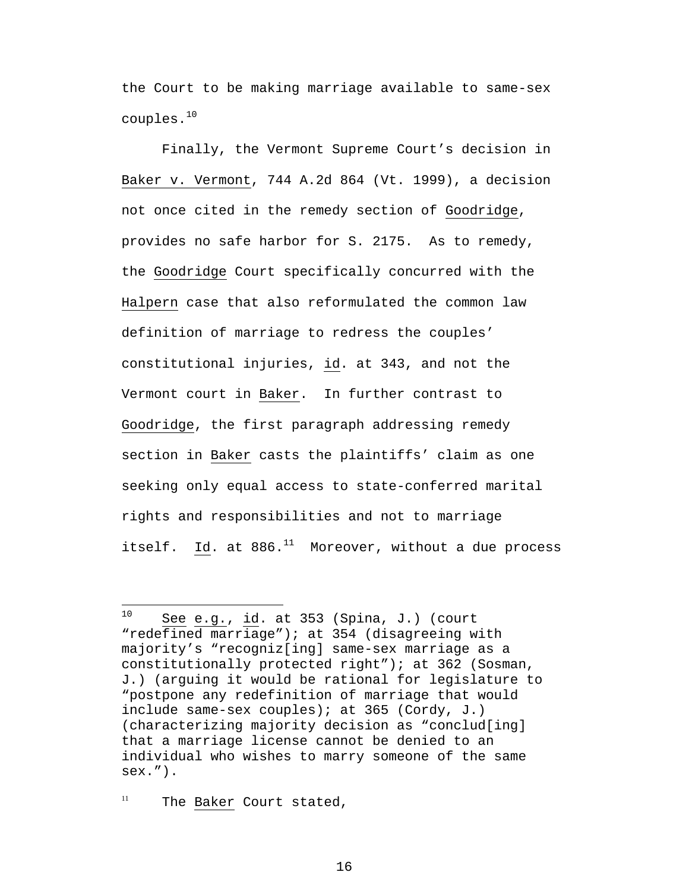<span id="page-24-1"></span>the Court to be making marriage available to same-sex couples.[10](#page-24-0)

Finally, the Vermont Supreme Court's decision in Baker v. Vermont, 744 A.2d 864 (Vt. 1999), a decision not once cited in the remedy section of Goodridge, provides no safe harbor for S. 2175. As to remedy, the Goodridge Court specifically concurred with the Halpern case that also reformulated the common law definition of marriage to redress the couples' constitutional injuries, id. at 343, and not the Vermont court in Baker. In further contrast to Goodridge, the first paragraph addressing remedy section in Baker casts the plaintiffs' claim as one seeking only equal access to state-conferred marital rights and responsibilities and not to marriage itself. Id. at  $886.^{11}$  Moreover, without a due process

<sup>11</sup> The Baker Court stated,

<span id="page-24-0"></span> $10$ See e.g., id. at  $353$  (Spina, J.) (court "redefined marriage"); at 354 (disagreeing with majority's "recogniz[ing] same-sex marriage as a constitutionally protected right"); at 362 (Sosman, J.) (arguing it would be rational for legislature to "postpone any redefinition of marriage that would include same-sex couples); at 365 (Cordy, J.) (characterizing majority decision as "conclud[ing] that a marriage license cannot be denied to an individual who wishes to marry someone of the same sex.").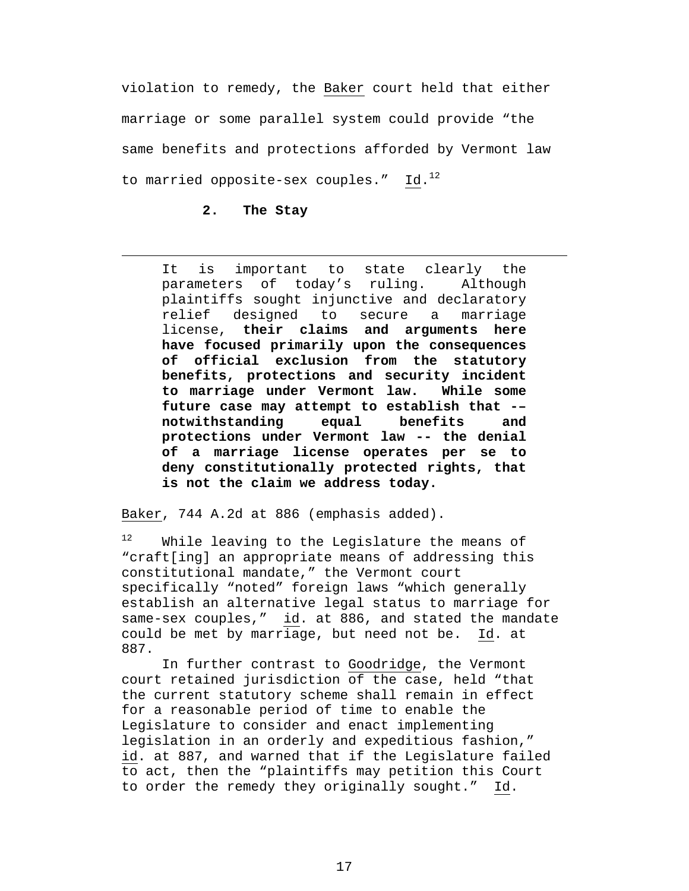violation to remedy, the Baker court held that either marriage or some parallel system could provide "the same benefits and protections afforded by Vermont law to married opposite-sex couples."  $Id.^{12}$ 

### **2. The Stay**

1

It is important to state clearly the parameters of today's ruling. Although plaintiffs sought injunctive and declaratory relief designed to secure a marriage license, **their claims and arguments here have focused primarily upon the consequences of official exclusion from the statutory benefits, protections and security incident to marriage under Vermont law. While some future case may attempt to establish that -– notwithstanding equal benefits and protections under Vermont law -- the denial of a marriage license operates per se to deny constitutionally protected rights, that is not the claim we address today.** 

Baker, 744 A.2d at 886 (emphasis added).

<span id="page-25-0"></span><sup>12</sup> While leaving to the Legislature the means of "craft[ing] an appropriate means of addressing this constitutional mandate," the Vermont court specifically "noted" foreign laws "which generally establish an alternative legal status to marriage for same-sex couples," id. at 886, and stated the mandate could be met by marriage, but need not be. Id. at 887.

In further contrast to Goodridge, the Vermont court retained jurisdiction of the case, held "that the current statutory scheme shall remain in effect for a reasonable period of time to enable the Legislature to consider and enact implementing legislation in an orderly and expeditious fashion," id. at 887, and warned that if the Legislature failed to act, then the "plaintiffs may petition this Court to order the remedy they originally sought." Id.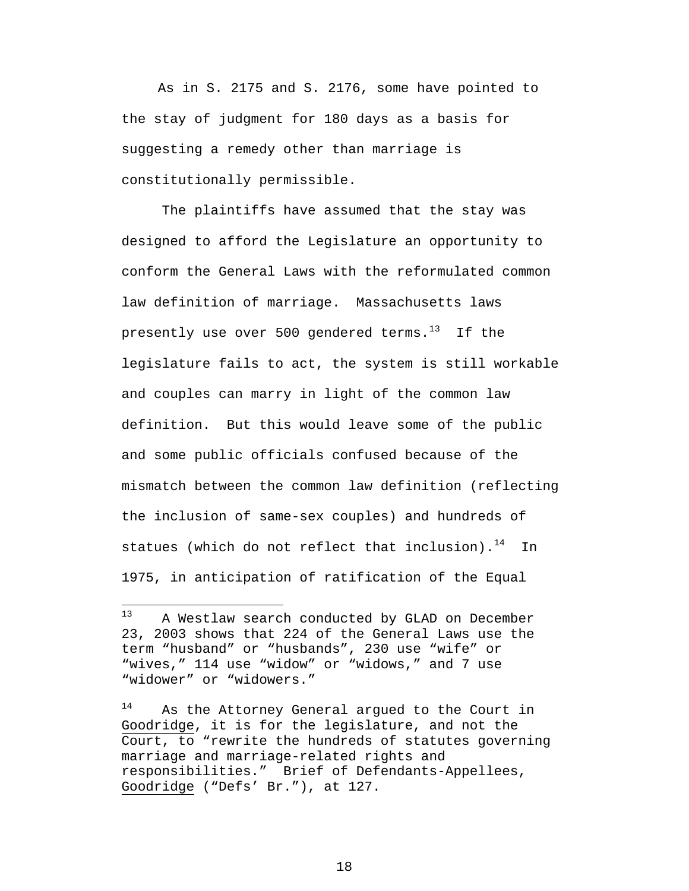As in S. 2175 and S. 2176, some have pointed to the stay of judgment for 180 days as a basis for suggesting a remedy other than marriage is constitutionally permissible.

The plaintiffs have assumed that the stay was designed to afford the Legislature an opportunity to conform the General Laws with the reformulated common law definition of marriage. Massachusetts laws presently use over 500 gendered terms. $13$  If the legislature fails to act, the system is still workable and couples can marry in light of the common law definition. But this would leave some of the public and some public officials confused because of the mismatch between the common law definition (reflecting the inclusion of same-sex couples) and hundreds of statues (which do not reflect that inclusion). $^{14}$  In 1975, in anticipation of ratification of the Equal

<span id="page-26-0"></span> $13$ A Westlaw search conducted by GLAD on December 23, 2003 shows that 224 of the General Laws use the term "husband" or "husbands", 230 use "wife" or "wives," 114 use "widow" or "widows," and 7 use "widower" or "widowers."

<span id="page-26-1"></span>As the Attorney General argued to the Court in Goodridge, it is for the legislature, and not the Court, to "rewrite the hundreds of statutes governing marriage and marriage-related rights and responsibilities." Brief of Defendants-Appellees, Goodridge ("Defs' Br."), at 127.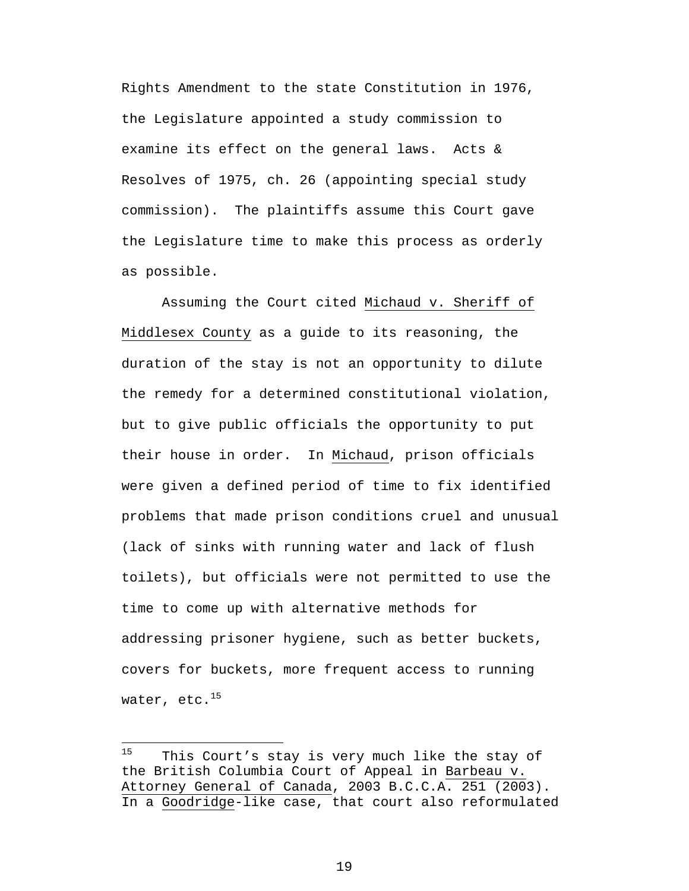<span id="page-27-0"></span>Rights Amendment to the state Constitution in 1976, the Legislature appointed a study commission to examine its effect on the general laws. Acts & Resolves of 1975, ch. 26 (appointing special study commission). The plaintiffs assume this Court gave the Legislature time to make this process as orderly as possible.

Assuming the Court cited Michaud v. Sheriff of Middlesex County as a guide to its reasoning, the duration of the stay is not an opportunity to dilute the remedy for a determined constitutional violation, but to give public officials the opportunity to put their house in order. In Michaud, prison officials were given a defined period of time to fix identified problems that made prison conditions cruel and unusual (lack of sinks with running water and lack of flush toilets), but officials were not permitted to use the time to come up with alternative methods for addressing prisoner hygiene, such as better buckets, covers for buckets, more frequent access to running water, etc.<sup>15</sup>

 $\overline{a}$ 

 $15$  This Court's stay is very much like the stay of the British Columbia Court of Appeal in Barbeau v. Attorney General of Canada, 2003 B.C.C.A. 251 (2003). In a Goodridge-like case, that court also reformulated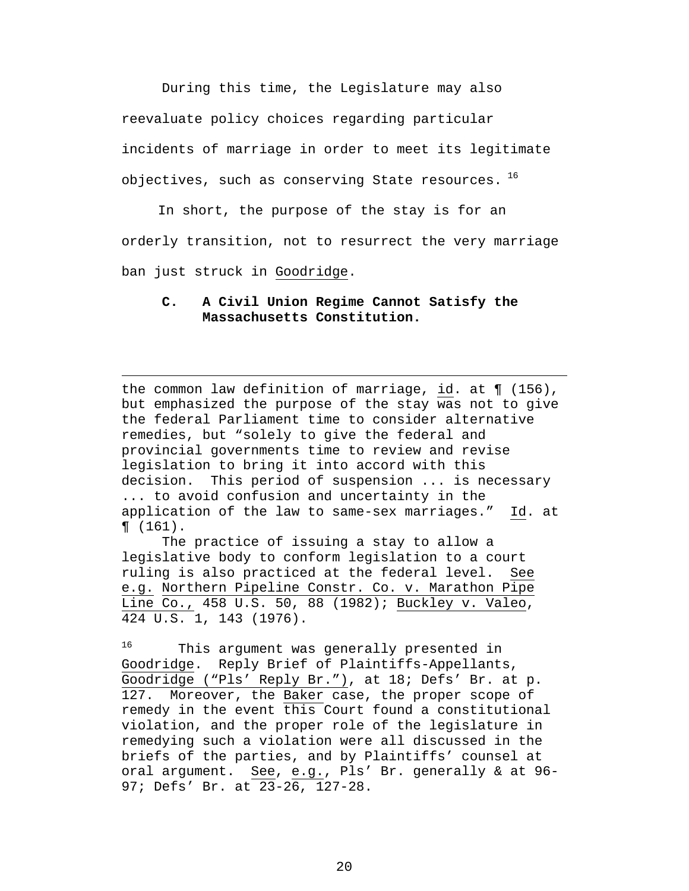During this time, the Legislature may also reevaluate policy choices regarding particular incidents of marriage in order to meet its legitimate objectives, such as conserving State resources.  $^{16}$  $^{16}$  $^{16}$ 

 In short, the purpose of the stay is for an orderly transition, not to resurrect the very marriage ban just struck in Goodridge.

### **C. A Civil Union Regime Cannot Satisfy the Massachusetts Constitution.**

1

the common law definition of marriage, id. at ¶ (156), but emphasized the purpose of the stay was not to give the federal Parliament time to consider alternative remedies, but "solely to give the federal and provincial governments time to review and revise legislation to bring it into accord with this decision. This period of suspension ... is necessary ... to avoid confusion and uncertainty in the application of the law to same-sex marriages." Id. at ¶ (161).

The practice of issuing a stay to allow a legislative body to conform legislation to a court ruling is also practiced at the federal level. See e.g. Northern Pipeline Constr. Co. v. Marathon Pipe Line Co., 458 U.S. 50, 88 (1982); Buckley v. Valeo, 424 U.S. 1, 143 (1976).

<span id="page-28-0"></span><sup>16</sup> This argument was generally presented in Goodridge. Reply Brief of Plaintiffs-Appellants, Goodridge ("Pls' Reply Br."), at 18; Defs' Br. at p. 127. Moreover, the Baker case, the proper scope of remedy in the event this Court found a constitutional violation, and the proper role of the legislature in remedying such a violation were all discussed in the briefs of the parties, and by Plaintiffs' counsel at oral argument. See, e.g., Pls' Br. generally & at 96- 97; Defs' Br. at 23-26, 127-28.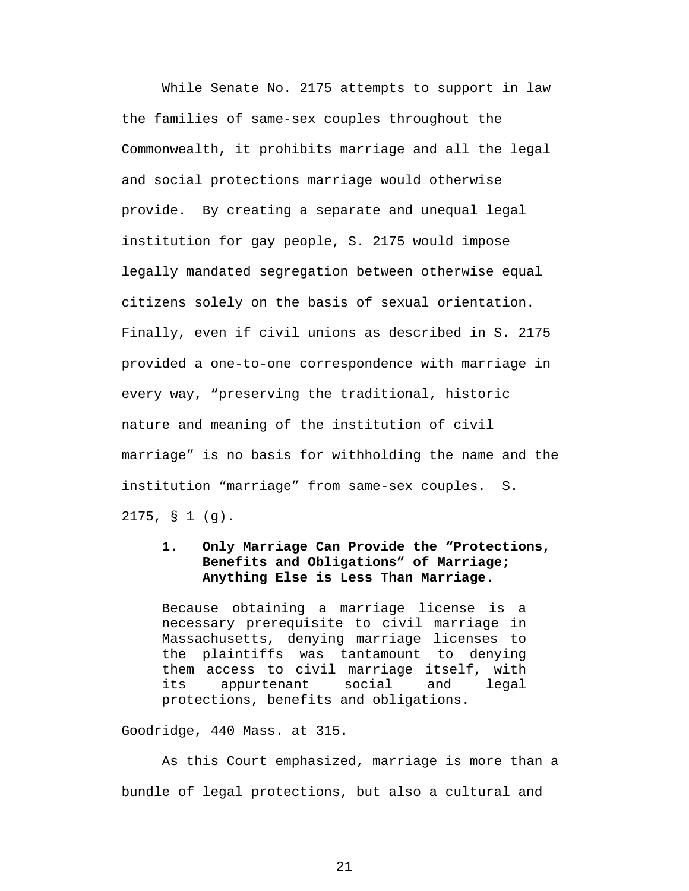While Senate No. 2175 attempts to support in law the families of same-sex couples throughout the Commonwealth, it prohibits marriage and all the legal and social protections marriage would otherwise provide. By creating a separate and unequal legal institution for gay people, S. 2175 would impose legally mandated segregation between otherwise equal citizens solely on the basis of sexual orientation. Finally, even if civil unions as described in S. 2175 provided a one-to-one correspondence with marriage in every way, "preserving the traditional, historic nature and meaning of the institution of civil marriage" is no basis for withholding the name and the institution "marriage" from same-sex couples. S. 2175, § 1 (g).

### **1. Only Marriage Can Provide the "Protections, Benefits and Obligations" of Marriage; Anything Else is Less Than Marriage.**

Because obtaining a marriage license is a necessary prerequisite to civil marriage in Massachusetts, denying marriage licenses to the plaintiffs was tantamount to denying them access to civil marriage itself, with its appurtenant social and legal protections, benefits and obligations.

#### Goodridge, 440 Mass. at 315.

As this Court emphasized, marriage is more than a bundle of legal protections, but also a cultural and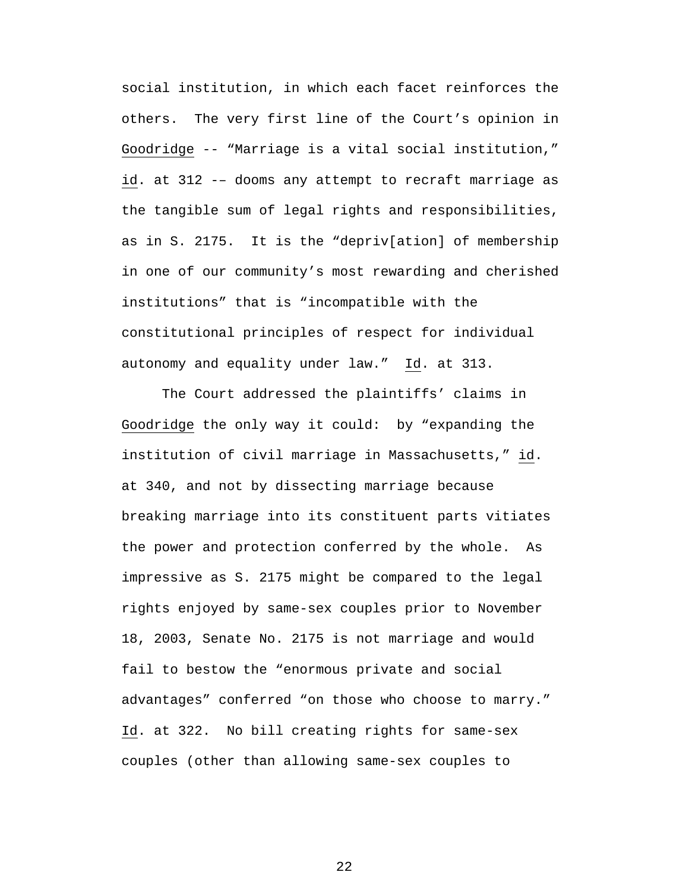social institution, in which each facet reinforces the others. The very first line of the Court's opinion in Goodridge -- "Marriage is a vital social institution," id. at 312 -– dooms any attempt to recraft marriage as the tangible sum of legal rights and responsibilities, as in S. 2175. It is the "depriv[ation] of membership in one of our community's most rewarding and cherished institutions" that is "incompatible with the constitutional principles of respect for individual autonomy and equality under law." Id. at 313.

The Court addressed the plaintiffs' claims in Goodridge the only way it could: by "expanding the institution of civil marriage in Massachusetts," id. at 340, and not by dissecting marriage because breaking marriage into its constituent parts vitiates the power and protection conferred by the whole. As impressive as S. 2175 might be compared to the legal rights enjoyed by same-sex couples prior to November 18, 2003, Senate No. 2175 is not marriage and would fail to bestow the "enormous private and social advantages" conferred "on those who choose to marry." Id. at 322. No bill creating rights for same-sex couples (other than allowing same-sex couples to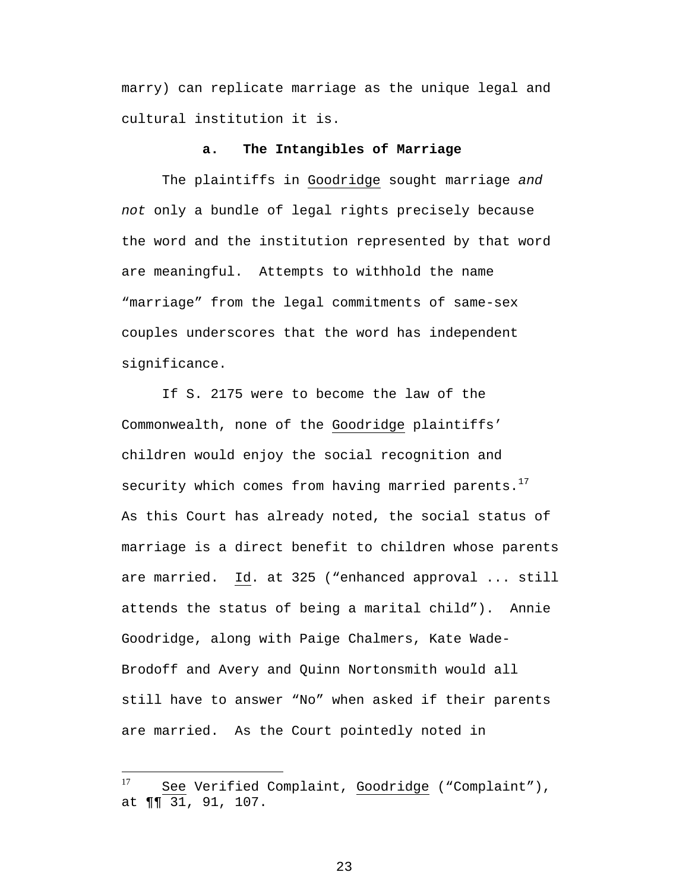marry) can replicate marriage as the unique legal and cultural institution it is.

#### **a. The Intangibles of Marriage**

The plaintiffs in Goodridge sought marriage *and not* only a bundle of legal rights precisely because the word and the institution represented by that word are meaningful. Attempts to withhold the name "marriage" from the legal commitments of same-sex couples underscores that the word has independent significance.

If S. 2175 were to become the law of the Commonwealth, none of the Goodridge plaintiffs' children would enjoy the social recognition and security which comes from having married parents. $17$ As this Court has already noted, the social status of marriage is a direct benefit to children whose parents are married. Id. at 325 ("enhanced approval ... still attends the status of being a marital child"). Annie Goodridge, along with Paige Chalmers, Kate Wade-Brodoff and Avery and Quinn Nortonsmith would all still have to answer "No" when asked if their parents are married. As the Court pointedly noted in

<span id="page-31-0"></span><sup>17</sup> See Verified Complaint, Goodridge ("Complaint"), at ¶¶ 31, 91, 107.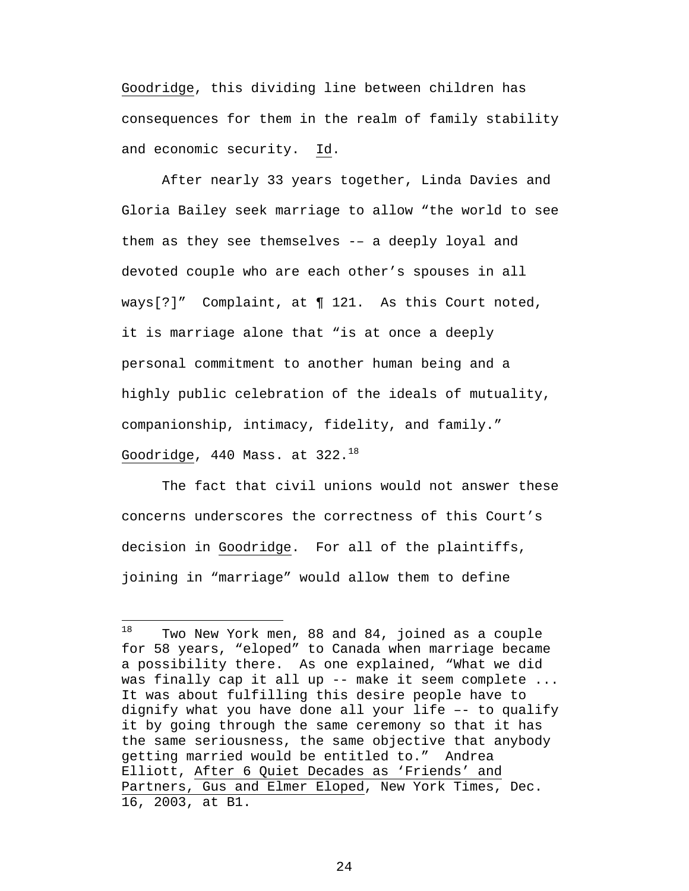Goodridge, this dividing line between children has consequences for them in the realm of family stability and economic security. Id.

After nearly 33 years together, Linda Davies and Gloria Bailey seek marriage to allow "the world to see them as they see themselves -– a deeply loyal and devoted couple who are each other's spouses in all ways[?]" Complaint, at ¶ 121. As this Court noted, it is marriage alone that "is at once a deeply personal commitment to another human being and a highly public celebration of the ideals of mutuality, companionship, intimacy, fidelity, and family." Goodridge,  $440$  Mass. at  $322.^{18}$  $322.^{18}$  $322.^{18}$ 

The fact that civil unions would not answer these concerns underscores the correctness of this Court's decision in Goodridge. For all of the plaintiffs, joining in "marriage" would allow them to define

<span id="page-32-0"></span><sup>18</sup> Two New York men, 88 and 84, joined as a couple for 58 years, "eloped" to Canada when marriage became a possibility there. As one explained, "What we did was finally cap it all up -- make it seem complete ... It was about fulfilling this desire people have to dignify what you have done all your life –- to qualify it by going through the same ceremony so that it has the same seriousness, the same objective that anybody getting married would be entitled to." Andrea Elliott, After 6 Quiet Decades as 'Friends' and Partners, Gus and Elmer Eloped, New York Times, Dec. 16, 2003, at B1.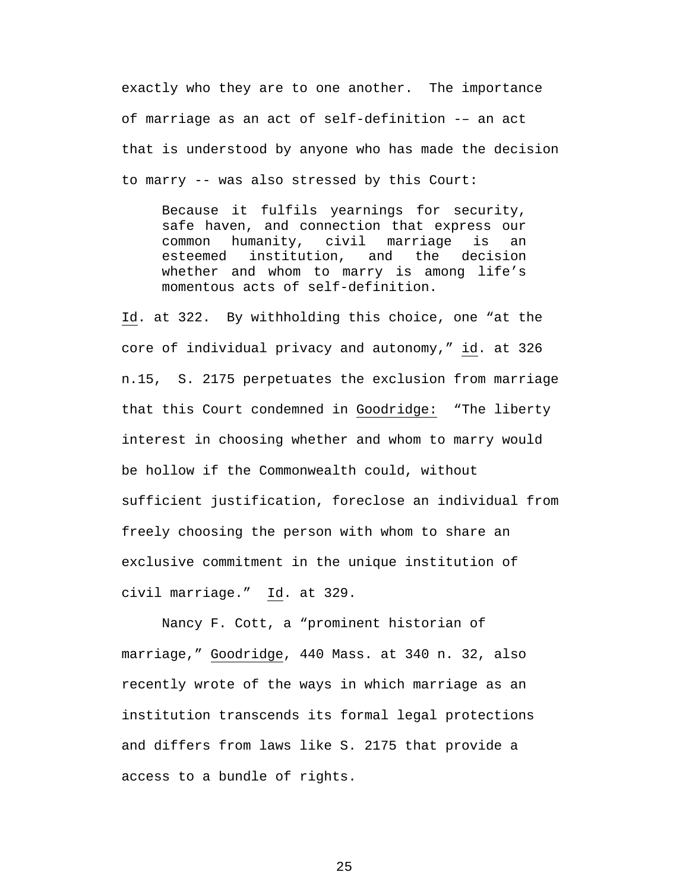exactly who they are to one another. The importance of marriage as an act of self-definition -– an act that is understood by anyone who has made the decision to marry -- was also stressed by this Court:

Because it fulfils yearnings for security, safe haven, and connection that express our common humanity, civil marriage is an esteemed institution, and the decision whether and whom to marry is among life's momentous acts of self-definition.

Id. at 322. By withholding this choice, one "at the core of individual privacy and autonomy," id. at 326 n.15, S. 2175 perpetuates the exclusion from marriage that this Court condemned in Goodridge: "The liberty interest in choosing whether and whom to marry would be hollow if the Commonwealth could, without sufficient justification, foreclose an individual from freely choosing the person with whom to share an exclusive commitment in the unique institution of civil marriage." Id. at 329.

Nancy F. Cott, a "prominent historian of marriage," Goodridge, 440 Mass. at 340 n. 32, also recently wrote of the ways in which marriage as an institution transcends its formal legal protections and differs from laws like S. 2175 that provide a access to a bundle of rights.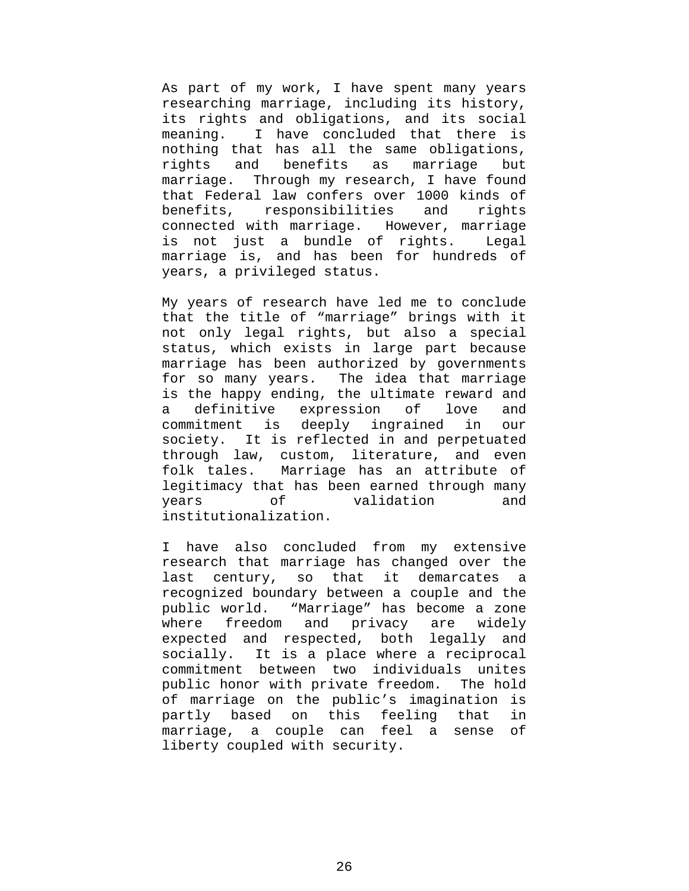As part of my work, I have spent many years researching marriage, including its history, its rights and obligations, and its social meaning. I have concluded that there is nothing that has all the same obligations, rights and benefits as marriage but marriage. Through my research, I have found that Federal law confers over 1000 kinds of benefits, responsibilities and rights connected with marriage. However, marriage is not just a bundle of rights. Legal marriage is, and has been for hundreds of years, a privileged status.

My years of research have led me to conclude that the title of "marriage" brings with it not only legal rights, but also a special status, which exists in large part because marriage has been authorized by governments for so many years. The idea that marriage is the happy ending, the ultimate reward and a definitive expression of love and commitment is deeply ingrained in our society. It is reflected in and perpetuated through law, custom, literature, and even folk tales. Marriage has an attribute of legitimacy that has been earned through many years of validation and institutionalization.

I have also concluded from my extensive research that marriage has changed over the last century, so that it demarcates a recognized boundary between a couple and the public world. "Marriage" has become a zone where freedom and privacy are widely expected and respected, both legally and socially. It is a place where a reciprocal commitment between two individuals unites public honor with private freedom. The hold of marriage on the public's imagination is partly based on this feeling that in marriage, a couple can feel a sense of liberty coupled with security.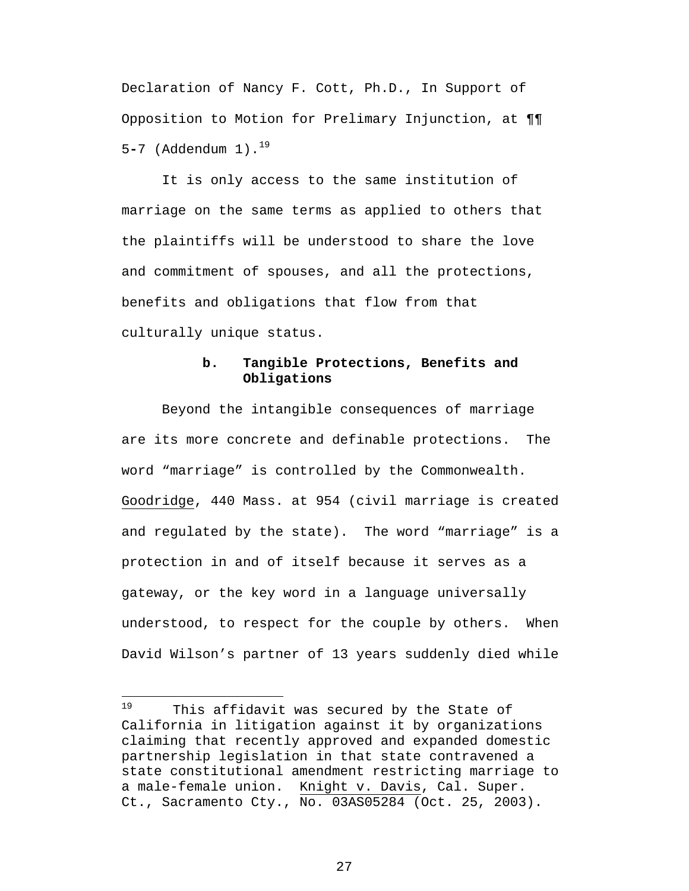Declaration of Nancy F. Cott, Ph.D., In Support of Opposition to Motion for Prelimary Injunction, at ¶¶ 5**-**7 (Addendum 1).[19](#page-35-0)

It is only access to the same institution of marriage on the same terms as applied to others that the plaintiffs will be understood to share the love and commitment of spouses, and all the protections, benefits and obligations that flow from that culturally unique status.

### **b. Tangible Protections, Benefits and Obligations**

Beyond the intangible consequences of marriage are its more concrete and definable protections. The word "marriage" is controlled by the Commonwealth. Goodridge, 440 Mass. at 954 (civil marriage is created and regulated by the state). The word "marriage" is a protection in and of itself because it serves as a gateway, or the key word in a language universally understood, to respect for the couple by others. When David Wilson's partner of 13 years suddenly died while

 $\overline{a}$ 

<span id="page-35-0"></span><sup>&</sup>lt;sup>19</sup> This affidavit was secured by the State of California in litigation against it by organizations claiming that recently approved and expanded domestic partnership legislation in that state contravened a state constitutional amendment restricting marriage to a male-female union. Knight v. Davis, Cal. Super. Ct., Sacramento Cty., No. 03AS05284 (Oct. 25, 2003).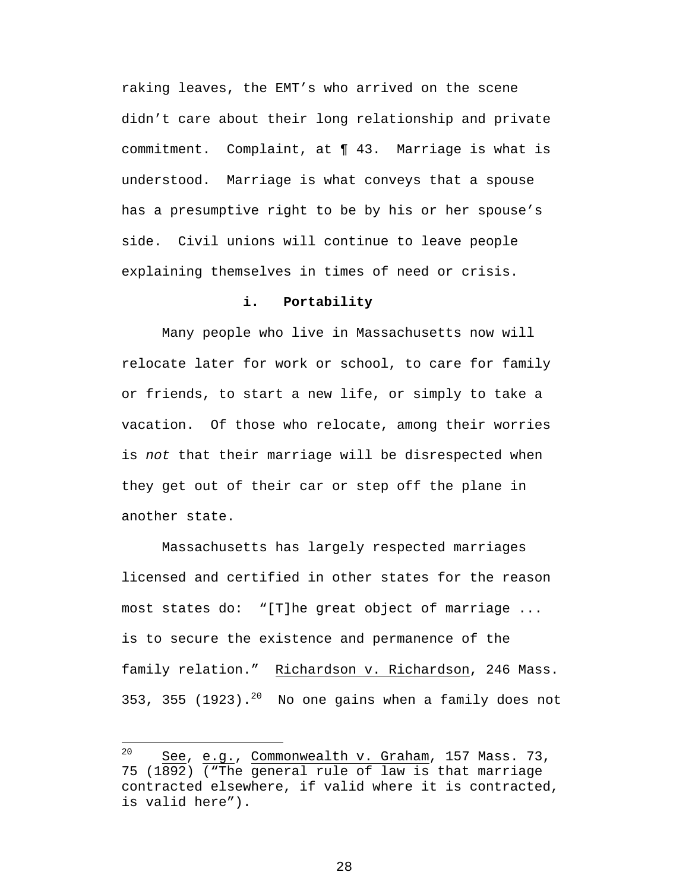raking leaves, the EMT's who arrived on the scene didn't care about their long relationship and private commitment. Complaint, at ¶ 43. Marriage is what is understood. Marriage is what conveys that a spouse has a presumptive right to be by his or her spouse's side. Civil unions will continue to leave people explaining themselves in times of need or crisis.

#### **i. Portability**

Many people who live in Massachusetts now will relocate later for work or school, to care for family or friends, to start a new life, or simply to take a vacation. Of those who relocate, among their worries is *not* that their marriage will be disrespected when they get out of their car or step off the plane in another state.

Massachusetts has largely respected marriages licensed and certified in other states for the reason most states do: "[T]he great object of marriage ... is to secure the existence and permanence of the family relation." Richardson v. Richardson, 246 Mass. 353, 355 (1923).<sup>20</sup> No one gains when a family does not

 $\overline{a}$ 

<span id="page-36-0"></span> $20$  See, e.g., Commonwealth v. Graham, 157 Mass. 73, 75 (1892) ("The general rule of law is that marriage contracted elsewhere, if valid where it is contracted, is valid here").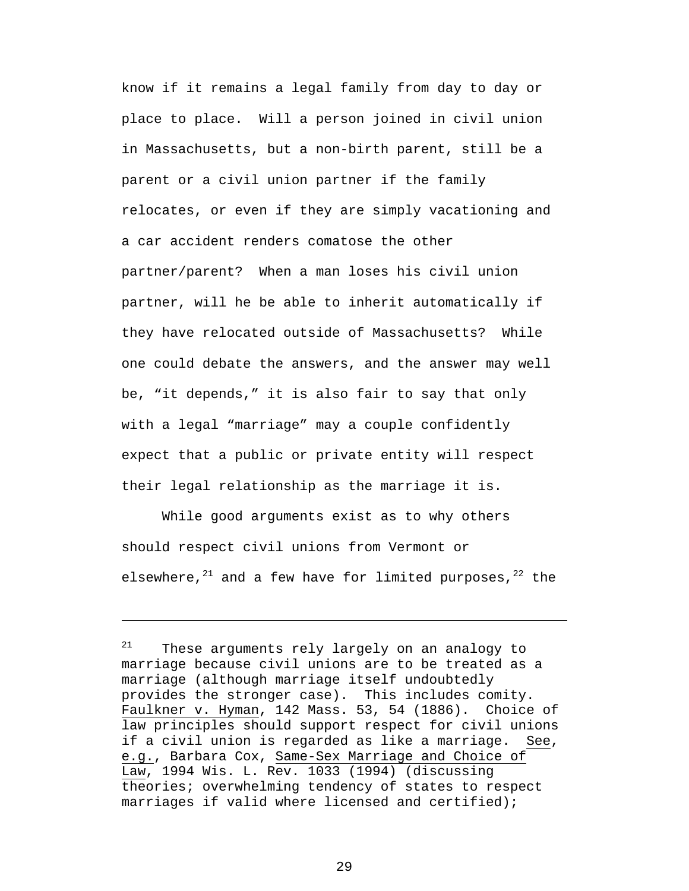<span id="page-37-0"></span>know if it remains a legal family from day to day or place to place. Will a person joined in civil union in Massachusetts, but a non-birth parent, still be a parent or a civil union partner if the family relocates, or even if they are simply vacationing and a car accident renders comatose the other partner/parent? When a man loses his civil union partner, will he be able to inherit automatically if they have relocated outside of Massachusetts? While one could debate the answers, and the answer may well be, "it depends," it is also fair to say that only with a legal "marriage" may a couple confidently expect that a public or private entity will respect their legal relationship as the marriage it is.

<span id="page-37-1"></span>While good arguments exist as to why others should respect civil unions from Vermont or elsewhere, $^{21}$  and a few have for limited purposes, $^{22}$  the

1

 $21$  These arguments rely largely on an analogy to marriage because civil unions are to be treated as a marriage (although marriage itself undoubtedly provides the stronger case). This includes comity. Faulkner v. Hyman, 142 Mass. 53, 54 (1886). Choice of law principles should support respect for civil unions if a civil union is regarded as like a marriage. See, e.g., Barbara Cox, Same-Sex Marriage and Choice of Law, 1994 Wis. L. Rev. 1033 (1994) (discussing theories; overwhelming tendency of states to respect marriages if valid where licensed and certified);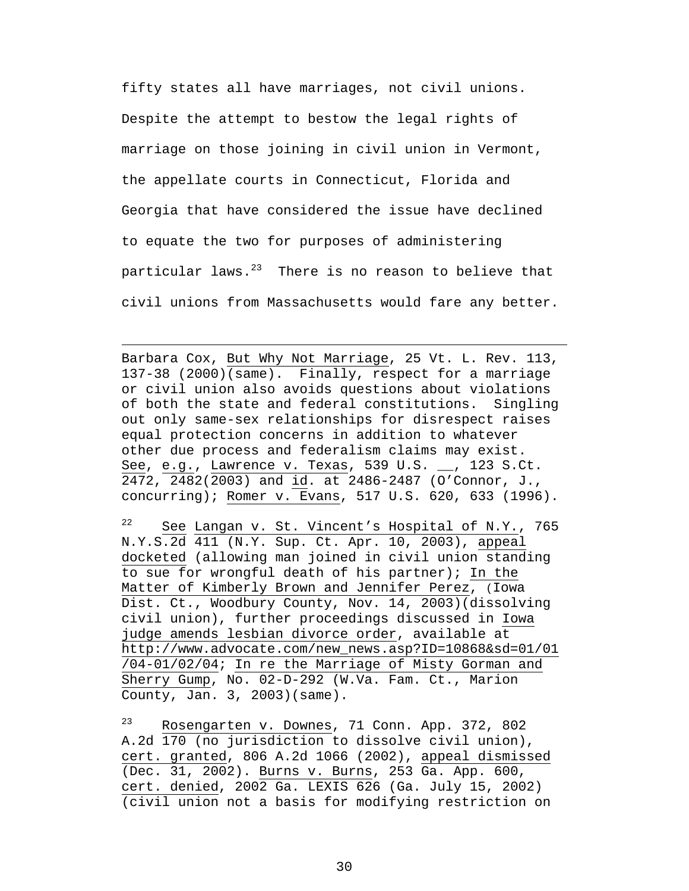<span id="page-38-0"></span>fifty states all have marriages, not civil unions. Despite the attempt to bestow the legal rights of marriage on those joining in civil union in Vermont, the appellate courts in Connecticut, Florida and Georgia that have considered the issue have declined to equate the two for purposes of administering particular laws. $23$  There is no reason to believe that civil unions from Massachusetts would fare any better.

Barbara Cox, But Why Not Marriage, 25 Vt. L. Rev. 113, 137-38 (2000)(same). Finally, respect for a marriage or civil union also avoids questions about violations of both the state and federal constitutions. Singling out only same-sex relationships for disrespect raises equal protection concerns in addition to whatever other due process and federalism claims may exist. See, e.g., Lawrence v. Texas, 539 U.S. \_\_, 123 S.Ct. 2472, 2482(2003) and id. at 2486-2487 (O'Connor, J., concurring); Romer v. Evans, 517 U.S. 620, 633 (1996).

 $\overline{a}$ 

 $22$  See Langan v. St. Vincent's Hospital of N.Y., 765 N.Y.S.2d 411 (N.Y. Sup. Ct. Apr. 10, 2003), appeal docketed (allowing man joined in civil union standing to sue for wrongful death of his partner); In the Matter of Kimberly Brown and Jennifer Perez, (Iowa Dist. Ct., Woodbury County, Nov. 14, 2003)(dissolving civil union), further proceedings discussed in Iowa judge amends lesbian divorce order, available at http://www.advocate.com/new\_news.asp?ID=10868&sd=01/01 /04-01/02/04; In re the Marriage of Misty Gorman and Sherry Gump, No. 02-D-292 (W.Va. Fam. Ct., Marion County, Jan. 3, 2003)(same).

23 Rosengarten v. Downes, 71 Conn. App. 372, 802 A.2d 170 (no jurisdiction to dissolve civil union), cert. granted, 806 A.2d 1066 (2002), appeal dismissed (Dec. 31, 2002). Burns v. Burns, 253 Ga. App. 600, cert. denied, 2002 Ga. LEXIS 626 (Ga. July 15, 2002) (civil union not a basis for modifying restriction on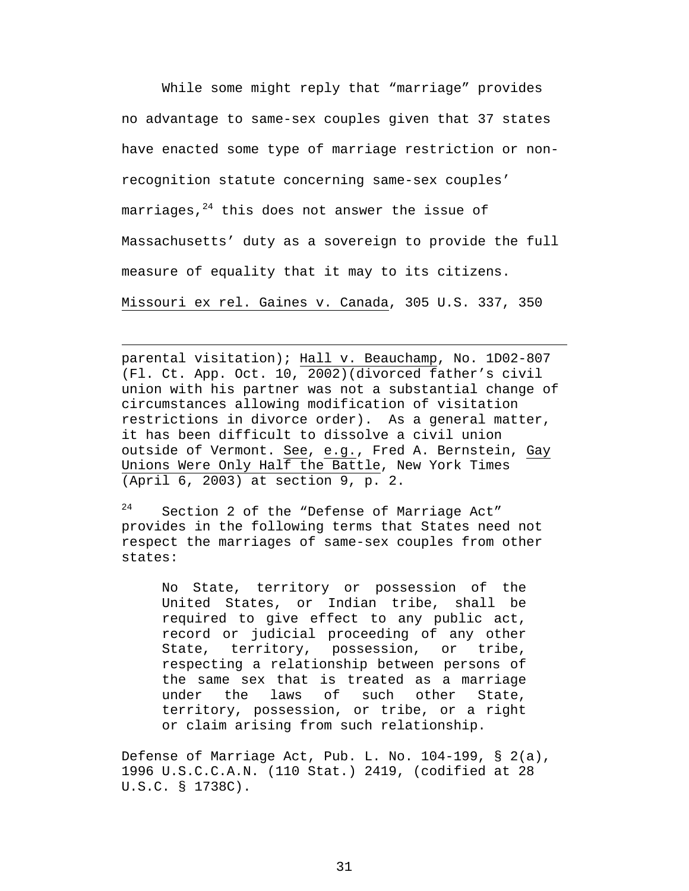While some might reply that "marriage" provides no advantage to same-sex couples given that 37 states have enacted some type of marriage restriction or nonrecognition statute concerning same-sex couples' marriages,  $24$  this does not answer the issue of Massachusetts' duty as a sovereign to provide the full measure of equality that it may to its citizens. Missouri ex rel. Gaines v. Canada, 305 U.S. 337, 350

parental visitation); Hall v. Beauchamp, No. 1D02-807 (Fl. Ct. App. Oct. 10, 2002)(divorced father's civil union with his partner was not a substantial change of circumstances allowing modification of visitation restrictions in divorce order). As a general matter, it has been difficult to dissolve a civil union outside of Vermont. See, e.g., Fred A. Bernstein, Gay Unions Were Only Half the Battle, New York Times (April 6, 2003) at section 9, p. 2.

1

<span id="page-39-0"></span>24 Section 2 of the "Defense of Marriage Act" provides in the following terms that States need not respect the marriages of same-sex couples from other states:

No State, territory or possession of the United States, or Indian tribe, shall be required to give effect to any public act, record or judicial proceeding of any other State, territory, possession, or tribe, respecting a relationship between persons of the same sex that is treated as a marriage under the laws of such other State, territory, possession, or tribe, or a right or claim arising from such relationship.

Defense of Marriage Act, Pub. L. No. 104-199, § 2(a), 1996 U.S.C.C.A.N. (110 Stat.) 2419, (codified at 28 U.S.C. § 1738C).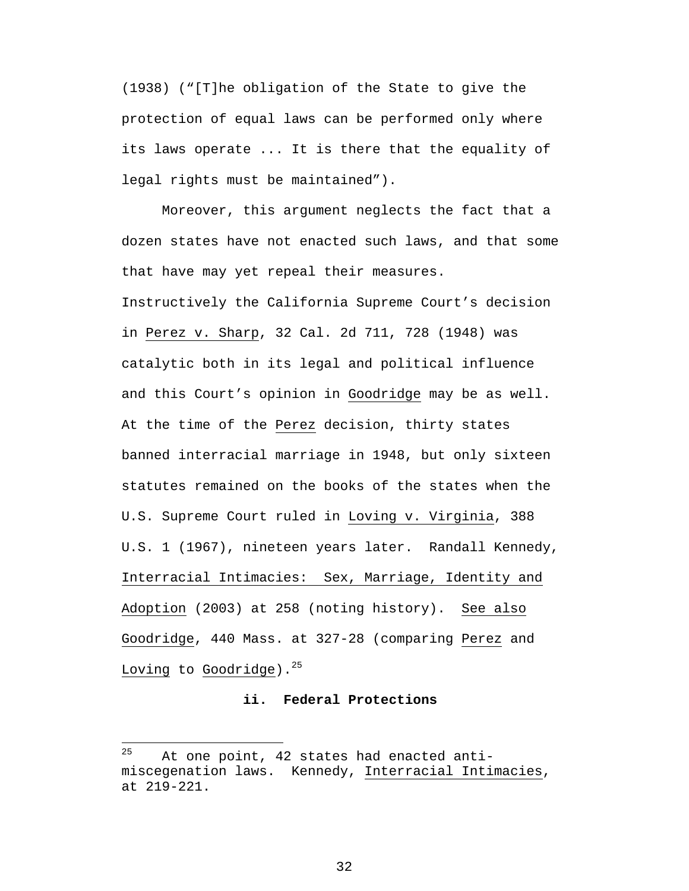(1938) ("[T]he obligation of the State to give the protection of equal laws can be performed only where its laws operate ... It is there that the equality of legal rights must be maintained").

Moreover, this argument neglects the fact that a dozen states have not enacted such laws, and that some that have may yet repeal their measures. Instructively the California Supreme Court's decision in Perez v. Sharp, 32 Cal. 2d 711, 728 (1948) was catalytic both in its legal and political influence and this Court's opinion in Goodridge may be as well. At the time of the Perez decision, thirty states banned interracial marriage in 1948, but only sixteen statutes remained on the books of the states when the U.S. Supreme Court ruled in Loving v. Virginia, 388 U.S. 1 (1967), nineteen years later. Randall Kennedy, Interracial Intimacies: Sex, Marriage, Identity and Adoption (2003) at 258 (noting history). See also Goodridge, 440 Mass. at 327-28 (comparing Perez and Loving to Goodridge). $25$ 

#### **ii. Federal Protections**

 $\overline{a}$ 

<span id="page-40-0"></span> $25$  At one point, 42 states had enacted antimiscegenation laws. Kennedy, Interracial Intimacies, at 219-221.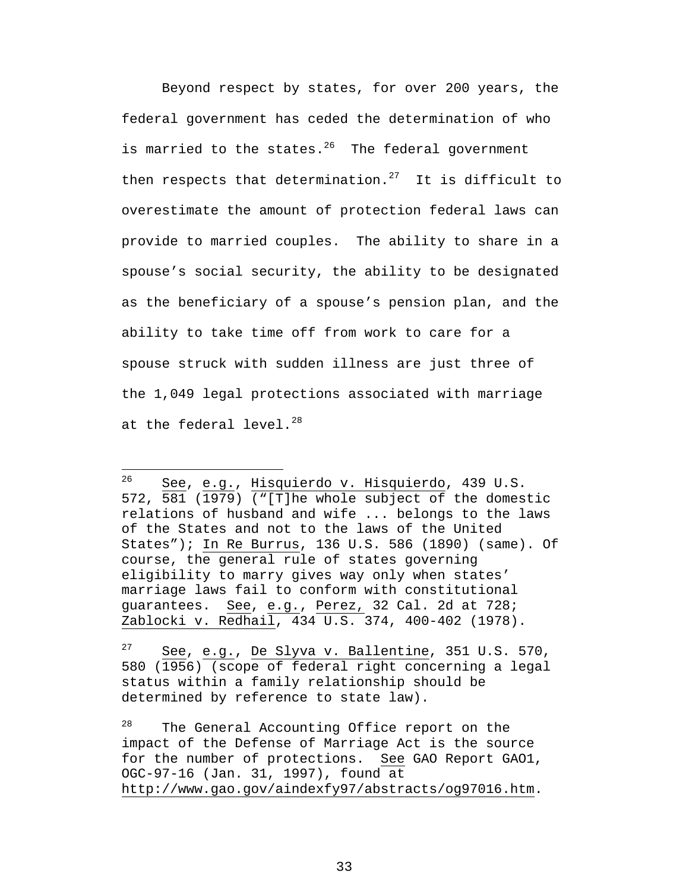Beyond respect by states, for over 200 years, the federal government has ceded the determination of who is married to the states. $^{26}$  The federal government then respects that determination.<sup>27</sup> It is difficult to overestimate the amount of protection federal laws can provide to married couples. The ability to share in a spouse's social security, the ability to be designated as the beneficiary of a spouse's pension plan, and the ability to take time off from work to care for a spouse struck with sudden illness are just three of the 1,049 legal protections associated with marriage at the federal level. $^{28}$  $^{28}$  $^{28}$ 

 $\overline{a}$ 

<span id="page-41-2"></span> $28$  The General Accounting Office report on the impact of the Defense of Marriage Act is the source for the number of protections. See GAO Report GAO1, OGC-97-16 (Jan. 31, 1997), found at http://www.gao.gov/aindexfy97/abstracts/og97016.htm.

<span id="page-41-0"></span><sup>26</sup> See, e.g., Hisquierdo v. Hisquierdo, 439 U.S. 572, 581 (1979) ("[T]he whole subject of the domestic relations of husband and wife ... belongs to the laws of the States and not to the laws of the United States"); In Re Burrus, 136 U.S. 586 (1890) (same). Of course, the general rule of states governing eligibility to marry gives way only when states' marriage laws fail to conform with constitutional guarantees. See, e.g., Perez, 32 Cal. 2d at 728; Zablocki v. Redhail, 434 U.S. 374, 400-402 (1978).

<span id="page-41-1"></span> $27$  See, e.g., De Slyva v. Ballentine, 351 U.S. 570, 580 (1956) (scope of federal right concerning a legal status within a family relationship should be determined by reference to state law).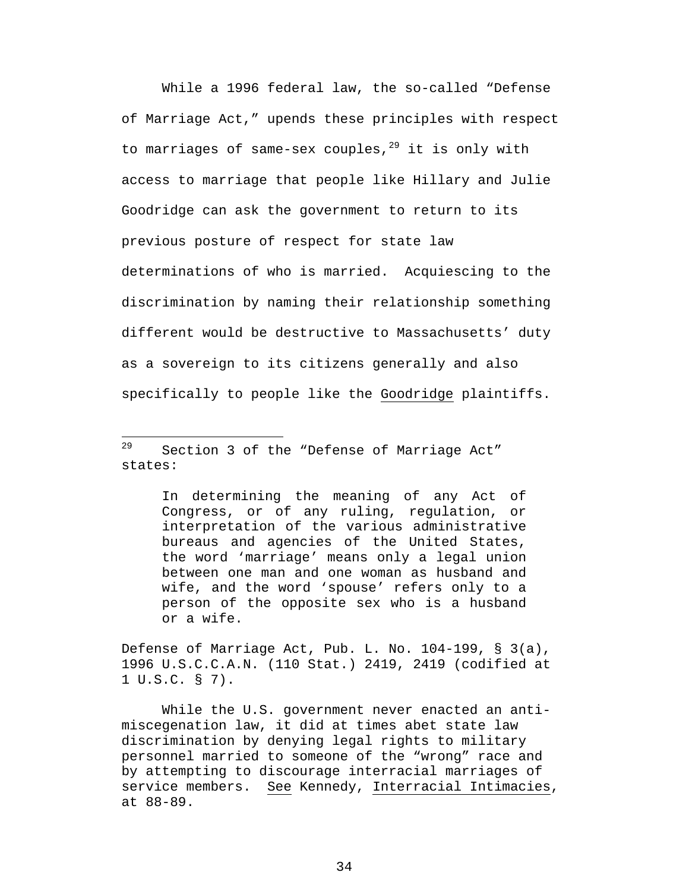While a 1996 federal law, the so-called "Defense of Marriage Act," upends these principles with respect to marriages of same-sex couples, $29$  it is only with access to marriage that people like Hillary and Julie Goodridge can ask the government to return to its previous posture of respect for state law determinations of who is married. Acquiescing to the discrimination by naming their relationship something different would be destructive to Massachusetts' duty as a sovereign to its citizens generally and also specifically to people like the Goodridge plaintiffs.

1

In determining the meaning of any Act of Congress, or of any ruling, regulation, or interpretation of the various administrative bureaus and agencies of the United States, the word 'marriage' means only a legal union between one man and one woman as husband and wife, and the word 'spouse' refers only to a person of the opposite sex who is a husband or a wife.

Defense of Marriage Act, Pub. L. No. 104-199, § 3(a), 1996 U.S.C.C.A.N. (110 Stat.) 2419, 2419 (codified at 1 U.S.C. § 7).

While the U.S. government never enacted an antimiscegenation law, it did at times abet state law discrimination by denying legal rights to military personnel married to someone of the "wrong" race and by attempting to discourage interracial marriages of service members. See Kennedy, Interracial Intimacies, at 88-89.

<span id="page-42-0"></span> $29$  Section 3 of the "Defense of Marriage Act" states: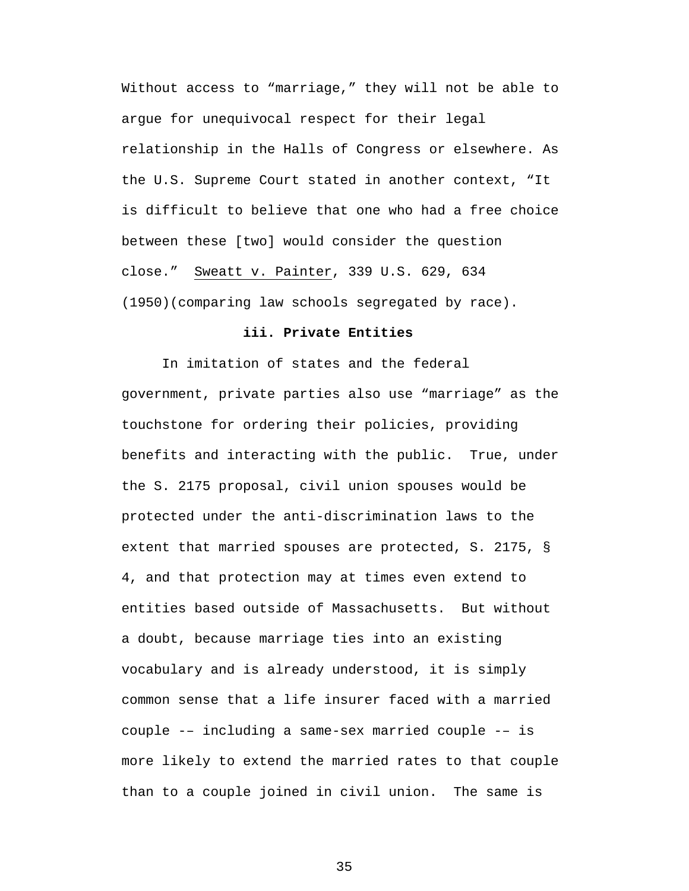Without access to "marriage," they will not be able to argue for unequivocal respect for their legal relationship in the Halls of Congress or elsewhere. As the U.S. Supreme Court stated in another context, "It is difficult to believe that one who had a free choice between these [two] would consider the question close." Sweatt v. Painter, 339 U.S. 629, 634 (1950)(comparing law schools segregated by race).

#### **iii. Private Entities**

In imitation of states and the federal government, private parties also use "marriage" as the touchstone for ordering their policies, providing benefits and interacting with the public. True, under the S. 2175 proposal, civil union spouses would be protected under the anti-discrimination laws to the extent that married spouses are protected, S. 2175, § 4, and that protection may at times even extend to entities based outside of Massachusetts. But without a doubt, because marriage ties into an existing vocabulary and is already understood, it is simply common sense that a life insurer faced with a married couple -– including a same-sex married couple -– is more likely to extend the married rates to that couple than to a couple joined in civil union. The same is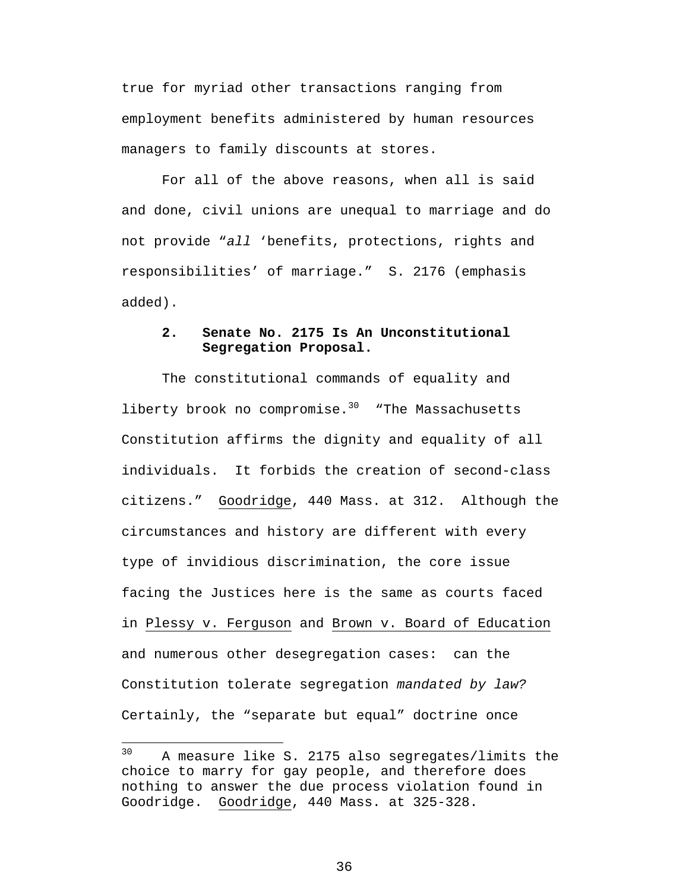true for myriad other transactions ranging from employment benefits administered by human resources managers to family discounts at stores.

For all of the above reasons, when all is said and done, civil unions are unequal to marriage and do not provide "*all* 'benefits, protections, rights and responsibilities' of marriage." S. 2176 (emphasis added).

### **2. Senate No. 2175 Is An Unconstitutional Segregation Proposal.**

The constitutional commands of equality and liberty brook no compromise. $30$  "The Massachusetts Constitution affirms the dignity and equality of all individuals. It forbids the creation of second-class citizens." Goodridge, 440 Mass. at 312. Although the circumstances and history are different with every type of invidious discrimination, the core issue facing the Justices here is the same as courts faced in Plessy v. Ferguson and Brown v. Board of Education and numerous other desegregation cases: can the Constitution tolerate segregation *mandated by law?* Certainly, the "separate but equal" doctrine once

1

<span id="page-44-0"></span><sup>&</sup>lt;sup>30</sup> A measure like S. 2175 also segregates/limits the choice to marry for gay people, and therefore does nothing to answer the due process violation found in Goodridge. Goodridge, 440 Mass. at 325-328.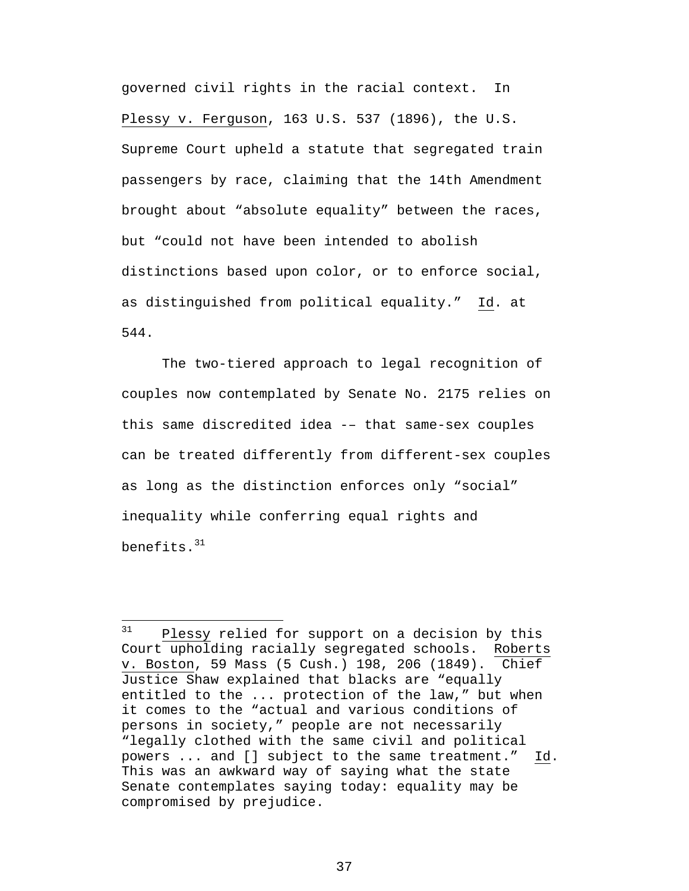<span id="page-45-0"></span>governed civil rights in the racial context. In Plessy v. Ferguson, 163 U.S. 537 (1896), the U.S. Supreme Court upheld a statute that segregated train passengers by race, claiming that the 14th Amendment brought about "absolute equality" between the races, but "could not have been intended to abolish distinctions based upon color, or to enforce social, as distinguished from political equality." Id. at 544.

The two-tiered approach to legal recognition of couples now contemplated by Senate No. 2175 relies on this same discredited idea -– that same-sex couples can be treated differently from different-sex couples as long as the distinction enforces only "social" inequality while conferring equal rights and benefits.[31](#page-45-0) 

 $31$ Plessy relied for support on a decision by this Court upholding racially segregated schools. Roberts v. Boston, 59 Mass (5 Cush.) 198, 206 (1849). Chief Justice Shaw explained that blacks are "equally entitled to the ... protection of the law," but when it comes to the "actual and various conditions of persons in society," people are not necessarily "legally clothed with the same civil and political powers ... and [] subject to the same treatment." Id. This was an awkward way of saying what the state Senate contemplates saying today: equality may be compromised by prejudice.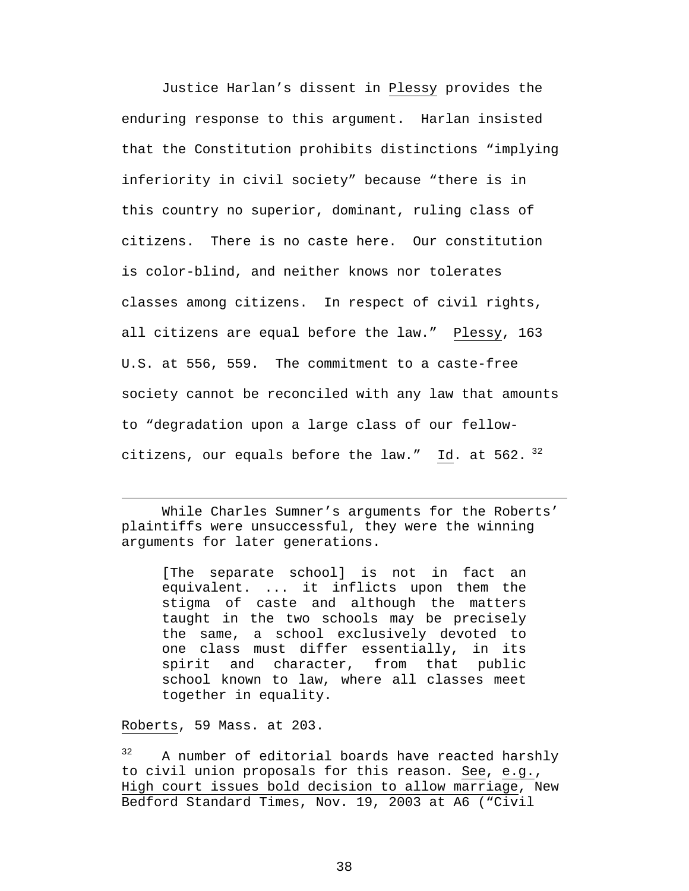<span id="page-46-0"></span>Justice Harlan's dissent in Plessy provides the enduring response to this argument. Harlan insisted that the Constitution prohibits distinctions "implying inferiority in civil society" because "there is in this country no superior, dominant, ruling class of citizens. There is no caste here. Our constitution is color-blind, and neither knows nor tolerates classes among citizens. In respect of civil rights, all citizens are equal before the law." Plessy, 163 U.S. at 556, 559. The commitment to a caste-free society cannot be reconciled with any law that amounts to "degradation upon a large class of our fellowcitizens, our equals before the law." Id. at  $562.$   $^{32}$ 

While Charles Sumner's arguments for the Roberts' plaintiffs were unsuccessful, they were the winning arguments for later generations.

[The separate school] is not in fact an equivalent. ... it inflicts upon them the stigma of caste and although the matters taught in the two schools may be precisely the same, a school exclusively devoted to one class must differ essentially, in its spirit and character, from that public school known to law, where all classes meet together in equality.

Roberts, 59 Mass. at 203.

 $\overline{a}$ 

<sup>32</sup> A number of editorial boards have reacted harshly to civil union proposals for this reason. See, e.g., High court issues bold decision to allow marriage, New Bedford Standard Times, Nov. 19, 2003 at A6 ("Civil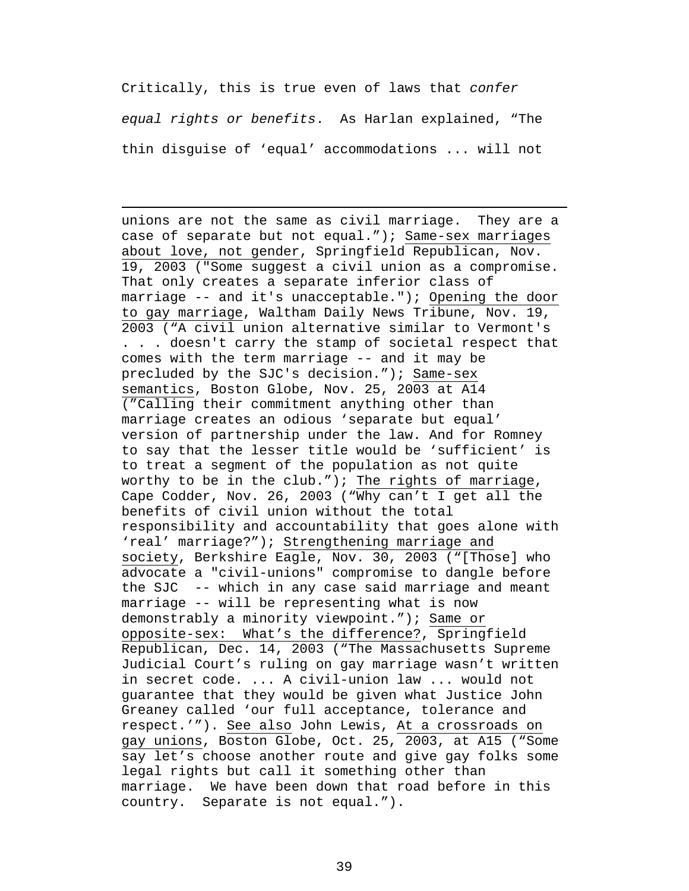Critically, this is true even of laws that *confer equal rights or benefits*. As Harlan explained, "The thin disguise of 'equal' accommodations ... will not

 $\overline{a}$ 

unions are not the same as civil marriage. They are a case of separate but not equal."); Same-sex marriages about love, not gender, Springfield Republican, Nov. 19, 2003 ("Some suggest a civil union as a compromise. That only creates a separate inferior class of marriage -- and it's unacceptable."); Opening the door to gay marriage, Waltham Daily News Tribune, Nov. 19, 2003 ("A civil union alternative similar to Vermont's . . . doesn't carry the stamp of societal respect that comes with the term marriage -- and it may be precluded by the SJC's decision."); Same-sex semantics, Boston Globe, Nov. 25, 2003 at A14 ("Calling their commitment anything other than marriage creates an odious 'separate but equal' version of partnership under the law. And for Romney to say that the lesser title would be 'sufficient' is to treat a segment of the population as not quite worthy to be in the club."); The rights of marriage, Cape Codder, Nov. 26, 2003 ("Why can't I get all the benefits of civil union without the total responsibility and accountability that goes alone with 'real' marriage?"); Strengthening marriage and society, Berkshire Eagle, Nov. 30, 2003 ("[Those] who advocate a "civil-unions" compromise to dangle before the SJC -- which in any case said marriage and meant marriage -- will be representing what is now demonstrably a minority viewpoint."); Same or opposite-sex: What's the difference?, Springfield Republican, Dec. 14, 2003 ("The Massachusetts Supreme Judicial Court's ruling on gay marriage wasn't written in secret code. ... A civil-union law ... would not guarantee that they would be given what Justice John Greaney called 'our full acceptance, tolerance and respect.'"). See also John Lewis, At a crossroads on gay unions, Boston Globe, Oct. 25, 2003, at A15 ("Some say let's choose another route and give gay folks some legal rights but call it something other than marriage. We have been down that road before in this country. Separate is not equal.").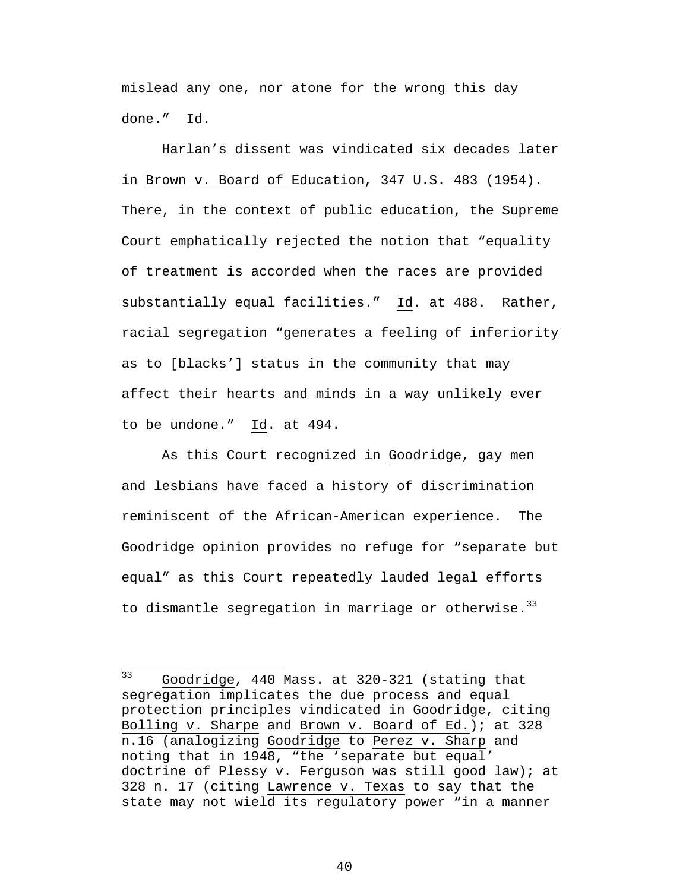<span id="page-48-0"></span>mislead any one, nor atone for the wrong this day done." Id.

 Harlan's dissent was vindicated six decades later in Brown v. Board of Education, 347 U.S. 483 (1954). There, in the context of public education, the Supreme Court emphatically rejected the notion that "equality of treatment is accorded when the races are provided substantially equal facilities." Id. at 488. Rather, racial segregation "generates a feeling of inferiority as to [blacks'] status in the community that may affect their hearts and minds in a way unlikely ever to be undone." Id. at 494.

As this Court recognized in Goodridge, gay men and lesbians have faced a history of discrimination reminiscent of the African-American experience. The Goodridge opinion provides no refuge for "separate but equal" as this Court repeatedly lauded legal efforts to dismantle segregation in marriage or otherwise.  $33$ 

<sup>33</sup> Goodridge, 440 Mass. at 320-321 (stating that segregation implicates the due process and equal protection principles vindicated in Goodridge, citing Bolling v. Sharpe and Brown v. Board of Ed.); at 328 n.16 (analogizing Goodridge to Perez v. Sharp and noting that in 1948, "the 'separate but equal' doctrine of Plessy v. Ferguson was still good law); at 328 n. 17 (citing Lawrence v. Texas to say that the state may not wield its regulatory power "in a manner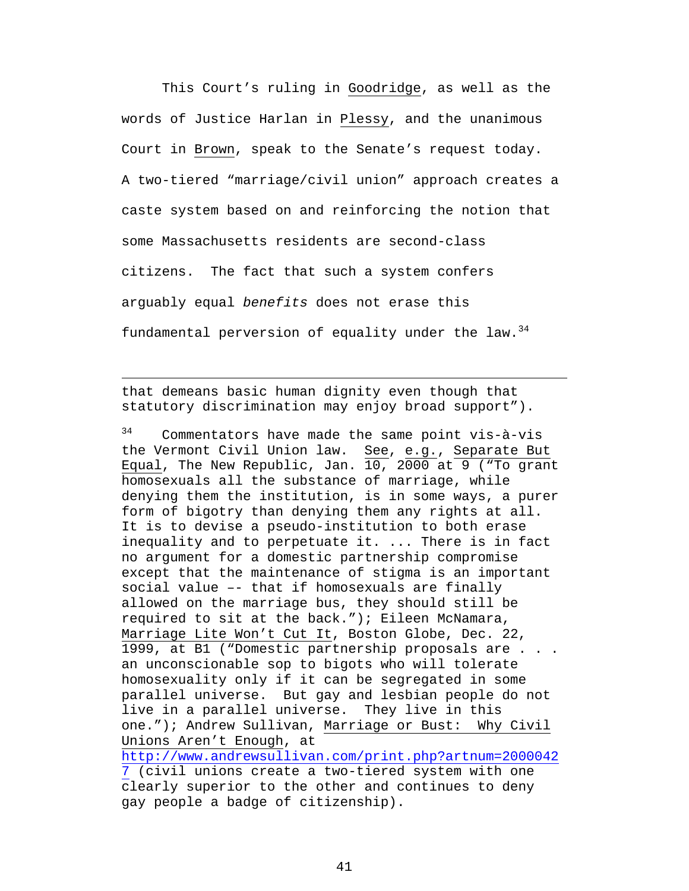This Court's ruling in Goodridge, as well as the words of Justice Harlan in Plessy, and the unanimous Court in Brown, speak to the Senate's request today. A two-tiered "marriage/civil union" approach creates a caste system based on and reinforcing the notion that some Massachusetts residents are second-class citizens. The fact that such a system confers arguably equal *benefits* does not erase this fundamental perversion of equality under the law.  $34$ 

that demeans basic human dignity even though that statutory discrimination may enjoy broad support").

 $\overline{a}$ 

<span id="page-49-0"></span>34 Commentators have made the same point vis-à-vis the Vermont Civil Union law. See, e.g., Separate But Equal, The New Republic, Jan. 10, 2000 at 9 ("To grant homosexuals all the substance of marriage, while denying them the institution, is in some ways, a purer form of bigotry than denying them any rights at all. It is to devise a pseudo-institution to both erase inequality and to perpetuate it. ... There is in fact no argument for a domestic partnership compromise except that the maintenance of stigma is an important social value –- that if homosexuals are finally allowed on the marriage bus, they should still be required to sit at the back."); Eileen McNamara, Marriage Lite Won't Cut It, Boston Globe, Dec. 22, 1999, at B1 ("Domestic partnership proposals are . . . an unconscionable sop to bigots who will tolerate homosexuality only if it can be segregated in some parallel universe. But gay and lesbian people do not live in a parallel universe. They live in this one."); Andrew Sullivan, Marriage or Bust: Why Civil Unions Aren't Enough, at [http://www.andrewsullivan.com/print.php?artnum=2000042](http://www.andrewsullivan.com/print.php?artnum=20000427) [7](http://www.andrewsullivan.com/print.php?artnum=20000427) (civil unions create a two-tiered system with one clearly superior to the other and continues to deny gay people a badge of citizenship).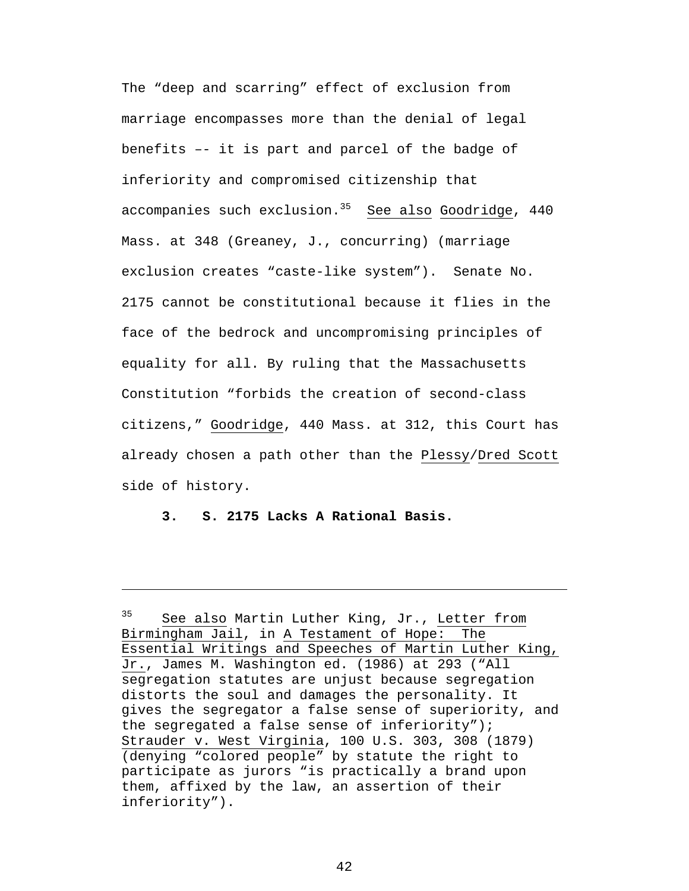The "deep and scarring" effect of exclusion from marriage encompasses more than the denial of legal benefits –- it is part and parcel of the badge of inferiority and compromised citizenship that accompanies such exclusion. $35$  See also Goodridge, 440 Mass. at 348 (Greaney, J., concurring) (marriage exclusion creates "caste-like system"). Senate No. 2175 cannot be constitutional because it flies in the face of the bedrock and uncompromising principles of equality for all. By ruling that the Massachusetts Constitution "forbids the creation of second-class citizens," Goodridge, 440 Mass. at 312, this Court has already chosen a path other than the Plessy/Dred Scott side of history.

**3. S. 2175 Lacks A Rational Basis.** 

<span id="page-50-0"></span><sup>&</sup>lt;sup>35</sup> See also Martin Luther King, Jr., Letter from Birmingham Jail, in A Testament of Hope: The Essential Writings and Speeches of Martin Luther King, Jr., James M. Washington ed. (1986) at 293 ("All segregation statutes are unjust because segregation distorts the soul and damages the personality. It gives the segregator a false sense of superiority, and the segregated a false sense of inferiority"); Strauder v. West Virginia, 100 U.S. 303, 308 (1879) (denying "colored people" by statute the right to participate as jurors "is practically a brand upon them, affixed by the law, an assertion of their inferiority").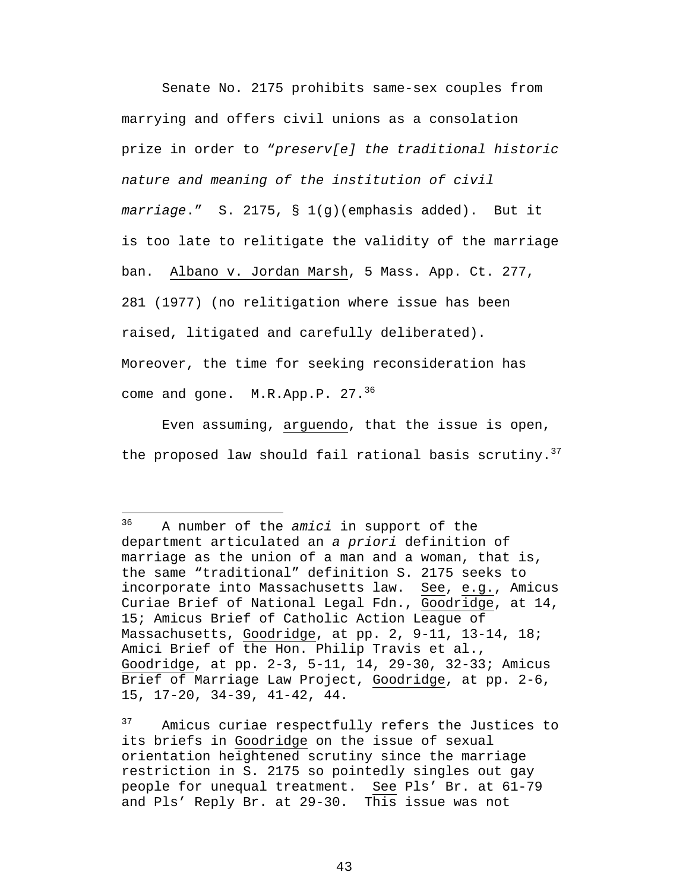<span id="page-51-1"></span>Senate No. 2175 prohibits same-sex couples from marrying and offers civil unions as a consolation prize in order to "*preserv[e] the traditional historic nature and meaning of the institution of civil marriage*." S. 2175, § 1(g)(emphasis added). But it is too late to relitigate the validity of the marriage ban. Albano v. Jordan Marsh, 5 Mass. App. Ct. 277, 281 (1977) (no relitigation where issue has been raised, litigated and carefully deliberated). Moreover, the time for seeking reconsideration has come and gone.  $M.R.Pp.P. 27.<sup>36</sup>$  $M.R.Pp.P. 27.<sup>36</sup>$  $M.R.Pp.P. 27.<sup>36</sup>$ 

Even assuming, arguendo, that the issue is open, the proposed law should fail rational basis scrutiny.<sup>37</sup>

<u>.</u>

<span id="page-51-0"></span><sup>36</sup> A number of the *amici* in support of the department articulated an *a priori* definition of marriage as the union of a man and a woman, that is, the same "traditional" definition S. 2175 seeks to incorporate into Massachusetts law. See, e.g., Amicus Curiae Brief of National Legal Fdn., Goodridge, at 14, 15; Amicus Brief of Catholic Action League of Massachusetts, Goodridge, at pp. 2, 9-11, 13-14, 18; Amici Brief of the Hon. Philip Travis et al., Goodridge, at pp. 2-3, 5-11, 14, 29-30, 32-33; Amicus Brief of Marriage Law Project, Goodridge, at pp. 2-6, 15, 17-20, 34-39, 41-42, 44.

<sup>&</sup>lt;sup>37</sup> Amicus curiae respectfully refers the Justices to its briefs in Goodridge on the issue of sexual orientation heightened scrutiny since the marriage restriction in S. 2175 so pointedly singles out gay people for unequal treatment. See Pls' Br. at 61-79 and Pls' Reply Br. at 29-30. This issue was not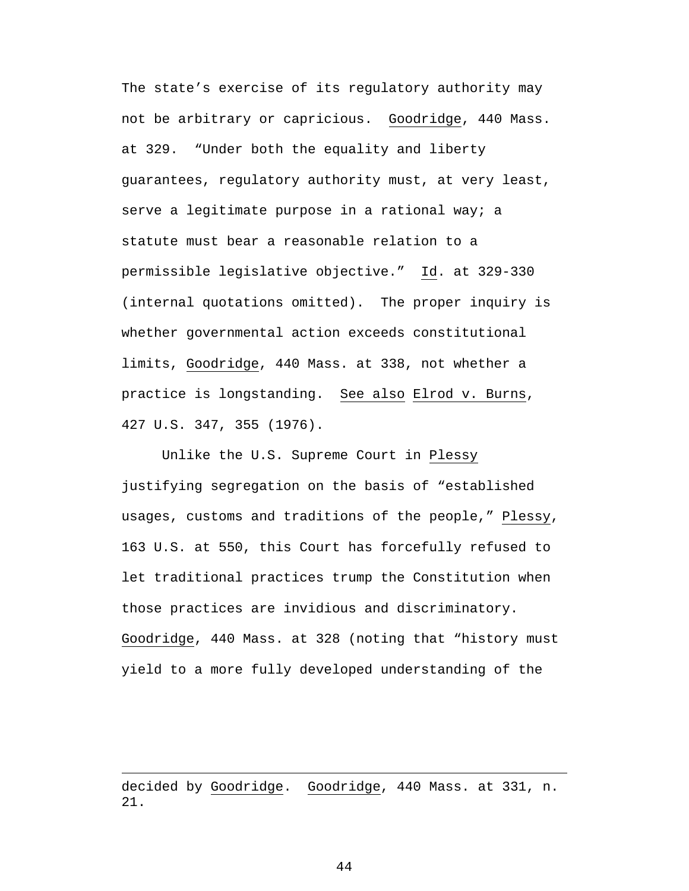The state's exercise of its regulatory authority may not be arbitrary or capricious. Goodridge, 440 Mass. at 329. "Under both the equality and liberty guarantees, regulatory authority must, at very least, serve a legitimate purpose in a rational way; a statute must bear a reasonable relation to a permissible legislative objective." Id. at 329-330 (internal quotations omitted). The proper inquiry is whether governmental action exceeds constitutional limits, Goodridge, 440 Mass. at 338, not whether a practice is longstanding. See also Elrod v. Burns, 427 U.S. 347, 355 (1976).

Unlike the U.S. Supreme Court in Plessy justifying segregation on the basis of "established usages, customs and traditions of the people," Plessy, 163 U.S. at 550, this Court has forcefully refused to let traditional practices trump the Constitution when those practices are invidious and discriminatory. Goodridge, 440 Mass. at 328 (noting that "history must yield to a more fully developed understanding of the

decided by Goodridge. Goodridge, 440 Mass. at 331, n. 21.

 $\overline{a}$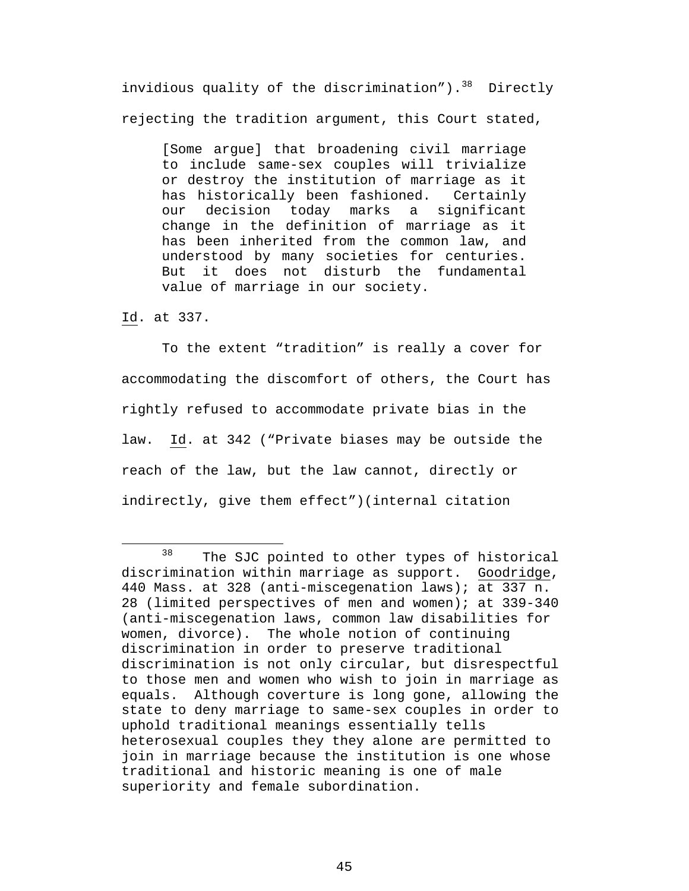invidious quality of the discrimination"). $38$  Directly rejecting the tradition argument, this Court stated,

[Some argue] that broadening civil marriage to include same-sex couples will trivialize or destroy the institution of marriage as it has historically been fashioned. Certainly our decision today marks a significant change in the definition of marriage as it has been inherited from the common law, and understood by many societies for centuries. But it does not disturb the fundamental value of marriage in our society.

Id. at 337.

To the extent "tradition" is really a cover for accommodating the discomfort of others, the Court has rightly refused to accommodate private bias in the law. Id. at 342 ("Private biases may be outside the reach of the law, but the law cannot, directly or indirectly, give them effect")(internal citation

<span id="page-53-0"></span><sup>&</sup>lt;sup>38</sup> The SJC pointed to other types of historical discrimination within marriage as support. Goodridge, 440 Mass. at 328 (anti-miscegenation laws); at 337 n. 28 (limited perspectives of men and women); at 339-340 (anti-miscegenation laws, common law disabilities for women, divorce). The whole notion of continuing discrimination in order to preserve traditional discrimination is not only circular, but disrespectful to those men and women who wish to join in marriage as equals. Although coverture is long gone, allowing the state to deny marriage to same-sex couples in order to uphold traditional meanings essentially tells heterosexual couples they they alone are permitted to join in marriage because the institution is one whose traditional and historic meaning is one of male superiority and female subordination.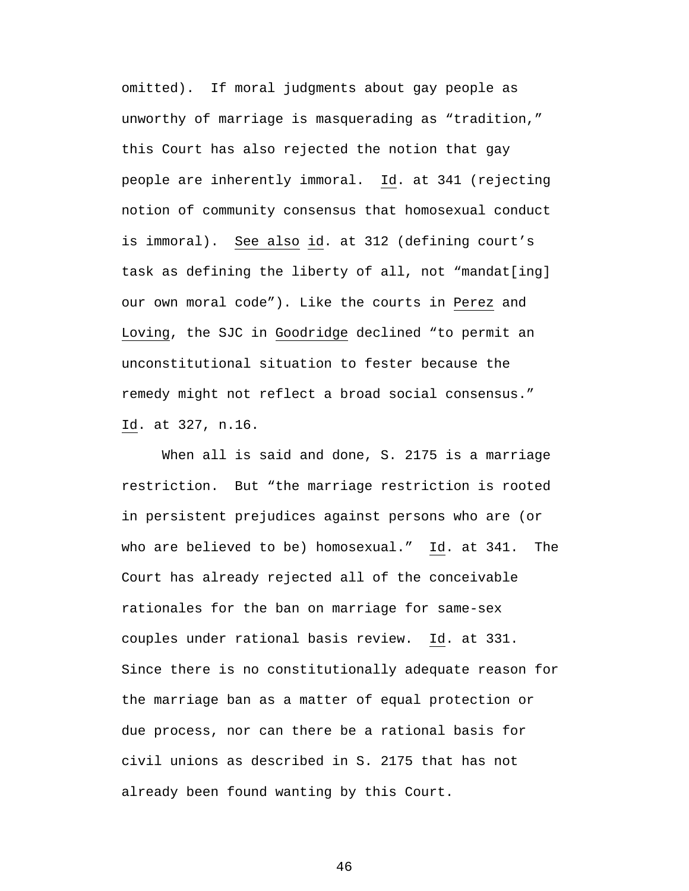omitted). If moral judgments about gay people as unworthy of marriage is masquerading as "tradition," this Court has also rejected the notion that gay people are inherently immoral. Id. at 341 (rejecting notion of community consensus that homosexual conduct is immoral). See also id. at 312 (defining court's task as defining the liberty of all, not "mandat[ing] our own moral code"). Like the courts in Perez and Loving, the SJC in Goodridge declined "to permit an unconstitutional situation to fester because the remedy might not reflect a broad social consensus." Id. at 327, n.16.

When all is said and done, S. 2175 is a marriage restriction. But "the marriage restriction is rooted in persistent prejudices against persons who are (or who are believed to be) homosexual." Id. at 341. The Court has already rejected all of the conceivable rationales for the ban on marriage for same-sex couples under rational basis review. Id. at 331. Since there is no constitutionally adequate reason for the marriage ban as a matter of equal protection or due process, nor can there be a rational basis for civil unions as described in S. 2175 that has not already been found wanting by this Court.